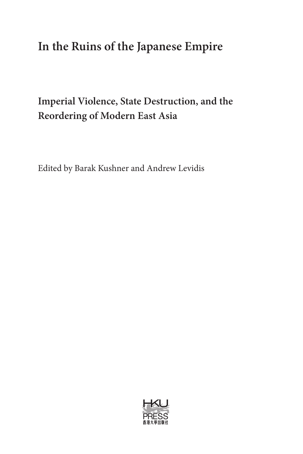# **In the Ruins of the Japanese Empire**

## **Imperial Violence, State Destruction, and the Reordering of Modern East Asia**

Edited by Barak Kushner and Andrew Levidis

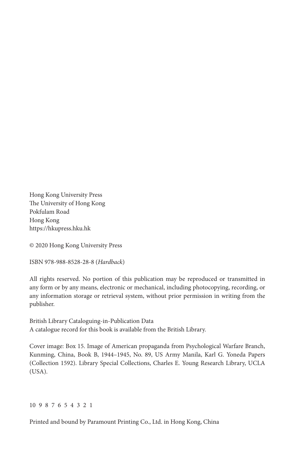Hong Kong University Press The University of Hong Kong Pokfulam Road Hong Kong https://hkupress.hku.hk

© 2020 Hong Kong University Press

ISBN 978-988-8528-28-8 (*Hardback*)

All rights reserved. No portion of this publication may be reproduced or transmitted in any form or by any means, electronic or mechanical, including photocopying, recording, or any information storage or retrieval system, without prior permission in writing from the publisher.

British Library Cataloguing-in-Publication Data A catalogue record for this book is available from the British Library.

Cover image: Box 15. Image of American propaganda from Psychological Warfare Branch, Kunming, China, Book B, 1944–1945, No. 89, US Army Manila, Karl G. Yoneda Papers (Collection 1592). Library Special Collections, Charles E. Young Research Library, UCLA (USA).

#### 10 9 8 7 6 5 4 3 2 1

Printed and bound by Paramount Printing Co., Ltd. in Hong Kong, China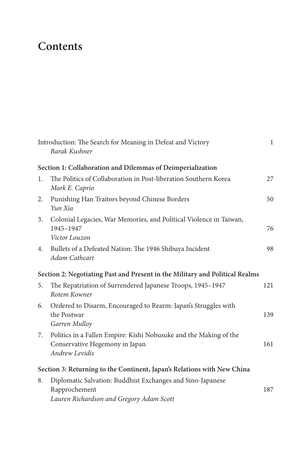# **Contents**

|    | Introduction: The Search for Meaning in Defeat and Victory<br>Barak Kushner                                             | $\mathbf{1}$ |
|----|-------------------------------------------------------------------------------------------------------------------------|--------------|
|    | Section 1: Collaboration and Dilemmas of Deimperialization                                                              |              |
| 1. | The Politics of Collaboration in Post-liberation Southern Korea<br>Mark E. Caprio                                       | 27           |
| 2. | Punishing Han Traitors beyond Chinese Borders<br>Yun Xia                                                                | 50           |
| 3. | Colonial Legacies, War Memories, and Political Violence in Taiwan,<br>1945-1947<br>Victor Louzon                        | 76           |
| 4. | Bullets of a Defeated Nation: The 1946 Shibuya Incident<br>Adam Cathcart                                                | 98           |
|    | Section 2: Negotiating Past and Present in the Military and Political Realms                                            |              |
| 5. | The Repatriation of Surrendered Japanese Troops, 1945-1947<br>Rotem Kowner                                              | 121          |
| 6. | Ordered to Disarm, Encouraged to Rearm: Japan's Struggles with<br>the Postwar<br>Garren Mulloy                          | 139          |
| 7. | Politics in a Fallen Empire: Kishi Nobusuke and the Making of the<br>Conservative Hegemony in Japan<br>Andrew Levidis   | 161          |
|    | Section 3: Returning to the Continent, Japan's Relations with New China                                                 |              |
| 8. | Diplomatic Salvation: Buddhist Exchanges and Sino-Japanese<br>Rapprochement<br>Lauren Richardson and Gregory Adam Scott | 187          |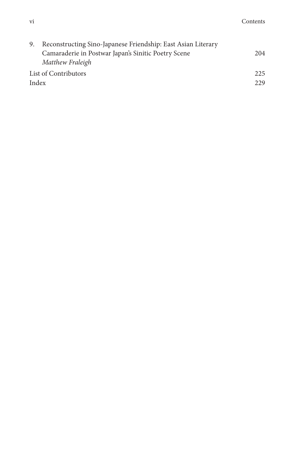|                      | 9. Reconstructing Sino-Japanese Friendship: East Asian Literary |     |
|----------------------|-----------------------------------------------------------------|-----|
|                      | Camaraderie in Postwar Japan's Sinitic Poetry Scene             | 204 |
|                      | Matthew Fraleigh                                                |     |
| List of Contributors |                                                                 | 225 |
| Index                |                                                                 | 229 |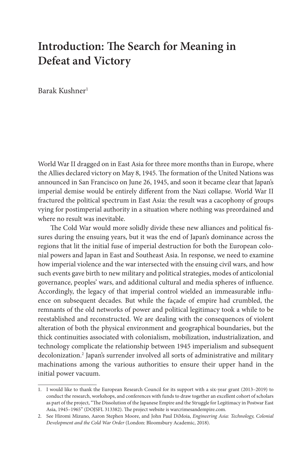## **Introduction: The Search for Meaning in Defeat and Victory**

Barak Kushner1

World War II dragged on in East Asia for three more months than in Europe, where the Allies declared victory on May 8, 1945. The formation of the United Nations was announced in San Francisco on June 26, 1945, and soon it became clear that Japan's imperial demise would be entirely different from the Nazi collapse. World War II fractured the political spectrum in East Asia: the result was a cacophony of groups vying for postimperial authority in a situation where nothing was preordained and where no result was inevitable.

The Cold War would more solidly divide these new alliances and political fissures during the ensuing years, but it was the end of Japan's dominance across the regions that lit the initial fuse of imperial destruction for both the European colonial powers and Japan in East and Southeast Asia. In response, we need to examine how imperial violence and the war intersected with the ensuing civil wars, and how such events gave birth to new military and political strategies, modes of anticolonial governance, peoples' wars, and additional cultural and media spheres of influence. Accordingly, the legacy of that imperial control wielded an immeasurable influence on subsequent decades. But while the façade of empire had crumbled, the remnants of the old networks of power and political legitimacy took a while to be reestablished and reconstructed. We are dealing with the consequences of violent alteration of both the physical environment and geographical boundaries, but the thick continuities associated with colonialism, mobilization, industrialization, and technology complicate the relationship between 1945 imperialism and subsequent decolonization.2 Japan's surrender involved all sorts of administrative and military machinations among the various authorities to ensure their upper hand in the initial power vacuum.

<sup>1.</sup> I would like to thank the European Research Council for its support with a six-year grant (2013–2019) to conduct the research, workshops, and conferences with funds to draw together an excellent cohort of scholars as part of the project, "The Dissolution of the Japanese Empire and the Struggle for Legitimacy in Postwar East Asia, 1945–1965" (DOJSFL 313382). The project website is warcrimesandempire.com.

<sup>2.</sup> See Hiromi Mizuno, Aaron Stephen Moore, and John Paul DiMoia, *Engineering Asia: Technology, Colonial Development and the Cold War Order* (London: Bloomsbury Academic, 2018).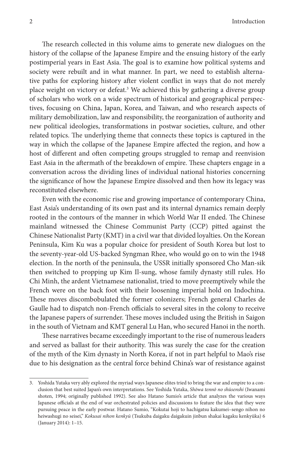The research collected in this volume aims to generate new dialogues on the history of the collapse of the Japanese Empire and the ensuing history of the early postimperial years in East Asia. The goal is to examine how political systems and society were rebuilt and in what manner. In part, we need to establish alternative paths for exploring history after violent conflict in ways that do not merely place weight on victory or defeat.<sup>3</sup> We achieved this by gathering a diverse group of scholars who work on a wide spectrum of historical and geographical perspectives, focusing on China, Japan, Korea, and Taiwan, and who research aspects of military demobilization, law and responsibility, the reorganization of authority and new political ideologies, transformations in postwar societies, culture, and other related topics. The underlying theme that connects these topics is captured in the way in which the collapse of the Japanese Empire affected the region, and how a host of different and often competing groups struggled to remap and reenvision East Asia in the aftermath of the breakdown of empire. These chapters engage in a conversation across the dividing lines of individual national histories concerning the significance of how the Japanese Empire dissolved and then how its legacy was reconstituted elsewhere.

Even with the economic rise and growing importance of contemporary China, East Asia's understanding of its own past and its internal dynamics remain deeply rooted in the contours of the manner in which World War II ended. The Chinese mainland witnessed the Chinese Communist Party (CCP) pitted against the Chinese Nationalist Party (KMT) in a civil war that divided loyalties. On the Korean Peninsula, Kim Ku was a popular choice for president of South Korea but lost to the seventy-year-old US-backed Syngman Rhee, who would go on to win the 1948 election. In the north of the peninsula, the USSR initially sponsored Cho Man-sik then switched to propping up Kim Il-sung, whose family dynasty still rules. Ho Chi Minh, the ardent Vietnamese nationalist, tried to move preemptively while the French were on the back foot with their loosening imperial hold on Indochina. These moves discombobulated the former colonizers; French general Charles de Gaulle had to dispatch non-French officials to several sites in the colony to receive the Japanese papers of surrender. These moves included using the British in Saigon in the south of Vietnam and KMT general Lu Han, who secured Hanoi in the north.

These narratives became exceedingly important to the rise of numerous leaders and served as ballast for their authority. This was surely the case for the creation of the myth of the Kim dynasty in North Korea, if not in part helpful to Mao's rise due to his designation as the central force behind China's war of resistance against

<sup>3.</sup> Yoshida Yutaka very ably explored the myriad ways Japanese elites tried to bring the war and empire to a conclusion that best suited Japan's own interpretations. See Yoshida Yutaka, *Shōwa tennō no shūsenshi* (Iwanami shoten, 1994; originally published 1992). See also Hatano Sumio's article that analyzes the various ways Japanese officials at the end of war orchestrated policies and discussions to feature the idea that they were pursuing peace in the early postwar. Hatano Sumio, "Kokutai hoji to hachigatsu kakumei–sengo nihon no heiwashugi no seisei," *Kokusai nihon kenkyū* (Tsukuba daigaku daigakuin jinbun shakai kagaku kenkyūka) 6 (January 2014): 1–15.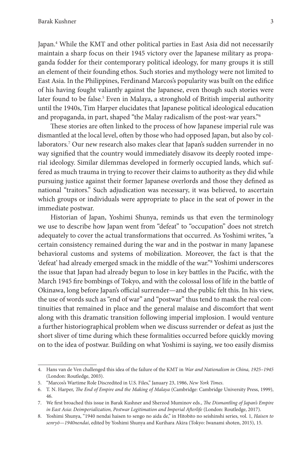Japan.4 While the KMT and other political parties in East Asia did not necessarily maintain a sharp focus on their 1945 victory over the Japanese military as propaganda fodder for their contemporary political ideology, for many groups it is still an element of their founding ethos. Such stories and mythology were not limited to East Asia. In the Philippines, Ferdinand Marcos's popularity was built on the edifice of his having fought valiantly against the Japanese, even though such stories were later found to be false.<sup>5</sup> Even in Malaya, a stronghold of British imperial authority until the 1940s, Tim Harper elucidates that Japanese political ideological education and propaganda, in part, shaped "the Malay radicalism of the post-war years."6

These stories are often linked to the process of how Japanese imperial rule was dismantled at the local level, often by those who had opposed Japan, but also by collaborators.7 Our new research also makes clear that Japan's sudden surrender in no way signified that the country would immediately disavow its deeply rooted imperial ideology. Similar dilemmas developed in formerly occupied lands, which suffered as much trauma in trying to recover their claims to authority as they did while pursuing justice against their former Japanese overlords and those they defined as national "traitors." Such adjudication was necessary, it was believed, to ascertain which groups or individuals were appropriate to place in the seat of power in the immediate postwar.

Historian of Japan, Yoshimi Shunya, reminds us that even the terminology we use to describe how Japan went from "defeat" to "occupation" does not stretch adequately to cover the actual transformations that occurred. As Yoshimi writes, "a certain consistency remained during the war and in the postwar in many Japanese behavioral customs and systems of mobilization. Moreover, the fact is that the 'defeat' had already emerged smack in the middle of the war."8 Yoshimi underscores the issue that Japan had already begun to lose in key battles in the Pacific, with the March 1945 fire bombings of Tokyo, and with the colossal loss of life in the battle of Okinawa, long before Japan's official surrender—and the public felt this. In his view, the use of words such as "end of war" and "postwar" thus tend to mask the real continuities that remained in place and the general malaise and discomfort that went along with this dramatic transition following imperial implosion. I would venture a further historiographical problem when we discuss surrender or defeat as just the short sliver of time during which these formalities occurred before quickly moving on to the idea of postwar. Building on what Yoshimi is saying, we too easily dismiss

<sup>4.</sup> Hans van de Ven challenged this idea of the failure of the KMT in *War and Nationalism in China, 1925–1945* (London: Routledge, 2003).

<sup>5.</sup> "Marcos's Wartime Role Discredited in U.S. Files," January 23, 1986, *New York Times*.

<sup>6.</sup> T. N. Harper, *The End of Empire and the Making of Malaya* (Cambridge: Cambridge University Press, 1999), 46.

<sup>7.</sup> We first broached this issue in Barak Kushner and Sherzod Muminov eds., *The Dismantling of Japan's Empire in East Asia: Deimperialization, Postwar Legitimation and Imperial Afterlife* (London: Routledge, 2017).

<sup>8.</sup> Yoshimi Shunya, "1940 nendai haisen to sengo no aida de," in Hitobito no seishinshi series, vol. 1, *Haisen to senryō—1940nendai*, edited by Yoshimi Shunya and Kurihara Akira (Tokyo: Iwanami shoten, 2015), 15.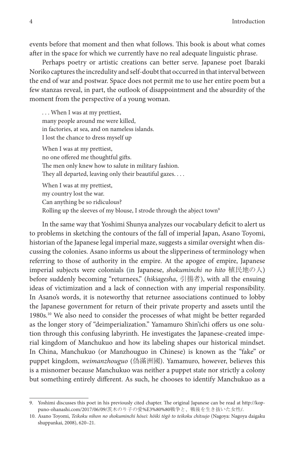events before that moment and then what follows. This book is about what comes after in the space for which we currently have no real adequate linguistic phrase.

Perhaps poetry or artistic creations can better serve. Japanese poet Ibaraki Noriko captures the incredulity and self-doubt that occurred in that interval between the end of war and postwar. Space does not permit me to use her entire poem but a few stanzas reveal, in part, the outlook of disappointment and the absurdity of the moment from the perspective of a young woman.

. . . When I was at my prettiest, many people around me were killed, in factories, at sea, and on nameless islands. I lost the chance to dress myself up When I was at my prettiest, no one offered me thoughtful gifts. The men only knew how to salute in military fashion. They all departed, leaving only their beautiful gazes. . . . When I was at my prettiest,

my country lost the war. Can anything be so ridiculous? Rolling up the sleeves of my blouse, I strode through the abject town<sup>9</sup>

In the same way that Yoshimi Shunya analyzes our vocabulary deficit to alert us to problems in sketching the contours of the fall of imperial Japan, Asano Toyomi, historian of the Japanese legal imperial maze, suggests a similar oversight when discussing the colonies. Asano informs us about the slipperiness of terminology when referring to those of authority in the empire. At the apogee of empire, Japanese imperial subjects were colonials (in Japanese, *shokuminchi no hito* 植民地の人) before suddenly becoming "returnees," (*hikiagesha*, 引揚者), with all the ensuing ideas of victimization and a lack of connection with any imperial responsibility. In Asano's words, it is noteworthy that returnee associations continued to lobby the Japanese government for return of their private property and assets until the 1980s.10 We also need to consider the processes of what might be better regarded as the longer story of "deimperialization." Yamamuro Shin'ichi offers us one solution through this confusing labyrinth. He investigates the Japanese-created imperial kingdom of Manchukuo and how its labeling shapes our historical mindset. In China, Manchukuo (or Manzhouguo in Chinese) is known as the "fake" or puppet kingdom, *weimanzhouguo* (偽滿洲國). Yamamuro, however, believes this is a misnomer because Manchukuo was neither a puppet state nor strictly a colony but something entirely different. As such, he chooses to identify Manchukuo as a

<sup>9.</sup> Yoshimi discusses this poet in his previously cited chapter. The original Japanese can be read at http://koppuno-ohanashi.com/2017/06/09/茨木のり子の愛%E3%80%80戦争と、戦後を生き抜いた女性/.

<sup>10.</sup> Asano Toyomi, *Teikoku nihon no shokuminchi hōsei: hōiki tōgō to teikoku chitsujo* (Nagoya: Nagoya daigaku shuppankai, 2008), 620–21.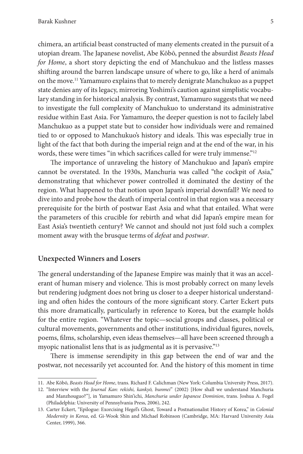chimera, an artificial beast constructed of many elements created in the pursuit of a utopian dream. The Japanese novelist, Abe Kōbō, penned the absurdist *Beasts Head for Home*, a short story depicting the end of Manchukuo and the listless masses shifting around the barren landscape unsure of where to go, like a herd of animals on the move.11 Yamamuro explains that to merely denigrate Manchukuo as a puppet state denies any of its legacy, mirroring Yoshimi's caution against simplistic vocabulary standing in for historical analysis. By contrast, Yamamuro suggests that we need to investigate the full complexity of Manchukuo to understand its administrative residue within East Asia. For Yamamuro, the deeper question is not to facilely label Manchukuo as a puppet state but to consider how individuals were and remained tied to or opposed to Manchukuo's history and ideals. This was especially true in light of the fact that both during the imperial reign and at the end of the war, in his words, these were times "in which sacrifices called for were truly immense."<sup>12</sup>

The importance of unraveling the history of Manchukuo and Japan's empire cannot be overstated. In the 1930s, Manchuria was called "the cockpit of Asia," demonstrating that whichever power controlled it dominated the destiny of the region. What happened to that notion upon Japan's imperial downfall? We need to dive into and probe how the death of imperial control in that region was a necessary prerequisite for the birth of postwar East Asia and what that entailed. What were the parameters of this crucible for rebirth and what did Japan's empire mean for East Asia's twentieth century? We cannot and should not just fold such a complex moment away with the brusque terms of *defeat* and *postwar*.

#### **Unexpected Winners and Losers**

The general understanding of the Japanese Empire was mainly that it was an accelerant of human misery and violence. This is most probably correct on many levels but rendering judgment does not bring us closer to a deeper historical understanding and often hides the contours of the more significant story. Carter Eckert puts this more dramatically, particularly in reference to Korea, but the example holds for the entire region. "Whatever the topic—social groups and classes, political or cultural movements, governments and other institutions, individual figures, novels, poems, films, scholarship, even ideas themselves—all have been screened through a myopic nationalist lens that is as judgmental as it is pervasive."<sup>13</sup>

There is immense serendipity in this gap between the end of war and the postwar, not necessarily yet accounted for. And the history of this moment in time

<sup>11.</sup> Abe Kōbō, *Beasts Head for Home*, trans. Richard F. Calichman (New York: Columbia University Press, 2017).

<sup>12.</sup> "Interview with the *Journal Kan: rekishi, kankyō, bunmei*" (2002) [How shall we understand Manchuria and Manzhouguo?"], in Yamamuro Shin'ichi, *Manchuria under Japanese Dominion*, trans. Joshua A. Fogel (Philadelphia: University of Pennsylvania Press, 2006), 242.

<sup>13.</sup> Carter Eckert, "Epilogue: Exorcising Hegel's Ghost, Toward a Postnationalist History of Korea," in *Colonial Modernity in Korea*, ed. Gi-Wook Shin and Michael Robinson (Cambridge, MA: Harvard University Asia Center, 1999), 366.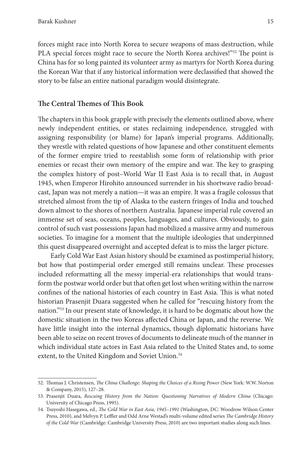forces might race into North Korea to secure weapons of mass destruction, while PLA special forces might race to secure the North Korea archives!"<sup>52</sup> The point is China has for so long painted its volunteer army as martyrs for North Korea during the Korean War that if any historical information were declassified that showed the story to be false an entire national paradigm would disintegrate.

#### **The Central Themes of This Book**

The chapters in this book grapple with precisely the elements outlined above, where newly independent entities, or states reclaiming independence, struggled with assigning responsibility (or blame) for Japan's imperial programs. Additionally, they wrestle with related questions of how Japanese and other constituent elements of the former empire tried to reestablish some form of relationship with prior enemies or recast their own memory of the empire and war. The key to grasping the complex history of post–World War II East Asia is to recall that, in August 1945, when Emperor Hirohito announced surrender in his shortwave radio broadcast, Japan was not merely a nation—it was an empire. It was a fragile colossus that stretched almost from the tip of Alaska to the eastern fringes of India and touched down almost to the shores of northern Australia. Japanese imperial rule covered an immense set of seas, oceans, peoples, languages, and cultures. Obviously, to gain control of such vast possessions Japan had mobilized a massive army and numerous societies. To imagine for a moment that the multiple ideologies that underpinned this quest disappeared overnight and accepted defeat is to miss the larger picture.

Early Cold War East Asian history should be examined as postimperial history, but how that postimperial order emerged still remains unclear. These processes included reformatting all the messy imperial-era relationships that would transform the postwar world order but that often get lost when writing within the narrow confines of the national histories of each country in East Asia. This is what noted historian Prasenjit Duara suggested when he called for "rescuing history from the nation."53 In our present state of knowledge, it is hard to be dogmatic about how the domestic situation in the two Koreas affected China or Japan, and the reverse. We have little insight into the internal dynamics, though diplomatic historians have been able to seize on recent troves of documents to delineate much of the manner in which individual state actors in East Asia related to the United States and, to some extent, to the United Kingdom and Soviet Union.<sup>54</sup>

<sup>52.</sup> Thomas J. Christensen, *The China Challenge: Shaping the Choices of a Rising Power* (New York: W.W. Norton & Company, 2015), 127–28.

<sup>53.</sup> Prasenjit Duara, *Rescuing History from the Nation: Questioning Narratives of Modern China* (Chicago: University of Chicago Press, 1995).

<sup>54.</sup> Tsuyoshi Hasegawa, ed., *The Cold War in East Asia, 1945–1991* (Washington, DC: Woodrow Wilson Center Press, 2010), and Melvyn P. Leffler and Odd Arne Westad's multi-volume edited series *The Cambridge History of the Cold War* (Cambridge: Cambridge University Press, 2010) are two important studies along such lines.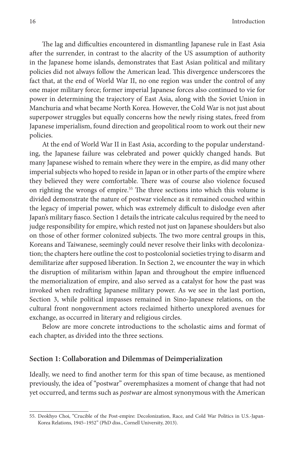The lag and difficulties encountered in dismantling Japanese rule in East Asia after the surrender, in contrast to the alacrity of the US assumption of authority in the Japanese home islands, demonstrates that East Asian political and military policies did not always follow the American lead. This divergence underscores the fact that, at the end of World War II, no one region was under the control of any one major military force; former imperial Japanese forces also continued to vie for power in determining the trajectory of East Asia, along with the Soviet Union in Manchuria and what became North Korea. However, the Cold War is not just about superpower struggles but equally concerns how the newly rising states, freed from Japanese imperialism, found direction and geopolitical room to work out their new policies.

At the end of World War II in East Asia, according to the popular understanding, the Japanese failure was celebrated and power quickly changed hands. But many Japanese wished to remain where they were in the empire, as did many other imperial subjects who hoped to reside in Japan or in other parts of the empire where they believed they were comfortable. There was of course also violence focused on righting the wrongs of empire.55 The three sections into which this volume is divided demonstrate the nature of postwar violence as it remained couched within the legacy of imperial power, which was extremely difficult to dislodge even after Japan's military fiasco. Section 1 details the intricate calculus required by the need to judge responsibility for empire, which rested not just on Japanese shoulders but also on those of other former colonized subjects. The two more central groups in this, Koreans and Taiwanese, seemingly could never resolve their links with decolonization; the chapters here outline the cost to postcolonial societies trying to disarm and demilitarize after supposed liberation. In Section 2, we encounter the way in which the disruption of militarism within Japan and throughout the empire influenced the memorialization of empire, and also served as a catalyst for how the past was invoked when redrafting Japanese military power. As we see in the last portion, Section 3, while political impasses remained in Sino-Japanese relations, on the cultural front nongovernment actors reclaimed hitherto unexplored avenues for exchange, as occurred in literary and religious circles.

Below are more concrete introductions to the scholastic aims and format of each chapter, as divided into the three sections.

#### **Section 1: Collaboration and Dilemmas of Deimperialization**

Ideally, we need to find another term for this span of time because, as mentioned previously, the idea of "postwar" overemphasizes a moment of change that had not yet occurred, and terms such as *postwar* are almost synonymous with the American

<sup>55.</sup> Deokhyo Choi, "Crucible of the Post-empire: Decolonization, Race, and Cold War Politics in U.S.-Japan-Korea Relations, 1945–1952" (PhD diss., Cornell University, 2013).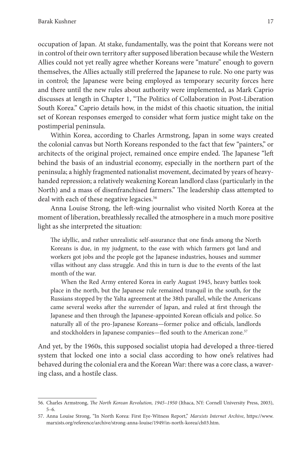occupation of Japan. At stake, fundamentally, was the point that Koreans were not in control of their own territory after supposed liberation because while the Western Allies could not yet really agree whether Koreans were "mature" enough to govern themselves, the Allies actually still preferred the Japanese to rule. No one party was in control; the Japanese were being employed as temporary security forces here and there until the new rules about authority were implemented, as Mark Caprio discusses at length in Chapter 1, "The Politics of Collaboration in Post-Liberation South Korea." Caprio details how, in the midst of this chaotic situation, the initial set of Korean responses emerged to consider what form justice might take on the postimperial peninsula.

Within Korea, according to Charles Armstrong, Japan in some ways created the colonial canvas but North Koreans responded to the fact that few "painters," or architects of the original project, remained once empire ended. The Japanese "left behind the basis of an industrial economy, especially in the northern part of the peninsula; a highly fragmented nationalist movement, decimated by years of heavyhanded repression; a relatively weakening Korean landlord class (particularly in the North) and a mass of disenfranchised farmers." The leadership class attempted to deal with each of these negative legacies.<sup>56</sup>

Anna Louise Strong, the left-wing journalist who visited North Korea at the moment of liberation, breathlessly recalled the atmosphere in a much more positive light as she interpreted the situation:

The idyllic, and rather unrealistic self-assurance that one finds among the North Koreans is due, in my judgment, to the ease with which farmers got land and workers got jobs and the people got the Japanese industries, houses and summer villas without any class struggle. And this in turn is due to the events of the last month of the war.

When the Red Army entered Korea in early August 1945, heavy battles took place in the north, but the Japanese rule remained tranquil in the south, for the Russians stopped by the Yalta agreement at the 38th parallel, while the Americans came several weeks after the surrender of Japan, and ruled at first through the Japanese and then through the Japanese-appointed Korean officials and police. So naturally all of the pro-Japanese Koreans—former police and officials, landlords and stockholders in Japanese companies—fled south to the American zone.<sup>57</sup>

And yet, by the 1960s, this supposed socialist utopia had developed a three-tiered system that locked one into a social class according to how one's relatives had behaved during the colonial era and the Korean War: there was a core class, a wavering class, and a hostile class.

<sup>56.</sup> Charles Armstrong, *The North Korean Revolution, 1945–1950* (Ithaca, NY: Cornell University Press, 2003), 5–6.

<sup>57.</sup> Anna Louise Strong, "In North Korea: First Eye-Witness Report," *Marxists Internet Archive*, https://www. marxists.org/reference/archive/strong-anna-louise/1949/in-north-korea/ch03.htm.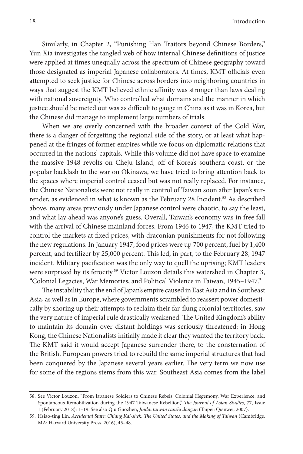Similarly, in Chapter 2, "Punishing Han Traitors beyond Chinese Borders," Yun Xia investigates the tangled web of how internal Chinese definitions of justice were applied at times unequally across the spectrum of Chinese geography toward those designated as imperial Japanese collaborators. At times, KMT officials even attempted to seek justice for Chinese across borders into neighboring countries in ways that suggest the KMT believed ethnic affinity was stronger than laws dealing with national sovereignty. Who controlled what domains and the manner in which justice should be meted out was as difficult to gauge in China as it was in Korea, but the Chinese did manage to implement large numbers of trials.

When we are overly concerned with the broader context of the Cold War, there is a danger of forgetting the regional side of the story, or at least what happened at the fringes of former empires while we focus on diplomatic relations that occurred in the nations' capitals. While this volume did not have space to examine the massive 1948 revolts on Cheju Island, off of Korea's southern coast, or the popular backlash to the war on Okinawa, we have tried to bring attention back to the spaces where imperial control ceased but was not really replaced. For instance, the Chinese Nationalists were not really in control of Taiwan soon after Japan's surrender, as evidenced in what is known as the February 28 Incident.<sup>58</sup> As described above, many areas previously under Japanese control were chaotic, to say the least, and what lay ahead was anyone's guess. Overall, Taiwan's economy was in free fall with the arrival of Chinese mainland forces. From 1946 to 1947, the KMT tried to control the markets at fixed prices, with draconian punishments for not following the new regulations. In January 1947, food prices were up 700 percent, fuel by 1,400 percent, and fertilizer by 25,000 percent. This led, in part, to the February 28, 1947 incident. Military pacification was the only way to quell the uprising; KMT leaders were surprised by its ferocity.<sup>59</sup> Victor Louzon details this watershed in Chapter 3, "Colonial Legacies, War Memories, and Political Violence in Taiwan, 1945–1947."

The instability that the end of Japan's empire caused in East Asia and in Southeast Asia, as well as in Europe, where governments scrambled to reassert power domestically by shoring up their attempts to reclaim their far-flung colonial territories, saw the very nature of imperial rule drastically weakened. The United Kingdom's ability to maintain its domain over distant holdings was seriously threatened: in Hong Kong, the Chinese Nationalists initially made it clear they wanted the territory back. The KMT said it would accept Japanese surrender there, to the consternation of the British. European powers tried to rebuild the same imperial structures that had been conquered by the Japanese several years earlier. The very term we now use for some of the regions stems from this war. Southeast Asia comes from the label

<sup>58.</sup> See Victor Louzon, "From Japanese Soldiers to Chinese Rebels: Colonial Hegemony, War Experience, and Spontaneous Remobilization during the 1947 Taiwanese Rebellion," *The Journal of Asian Studies*, 77, Issue 1 (February 2018): 1–19. See also Qiu Guozhen, *Jindai taiwan canshi dangan* (Taipei: Qianwei, 2007).

<sup>59.</sup> Hsiao-ting Lin, *Accidental State: Chiang Kai-shek, The United States, and the Making of Taiwan* (Cambridge, MA: Harvard University Press, 2016), 45–48.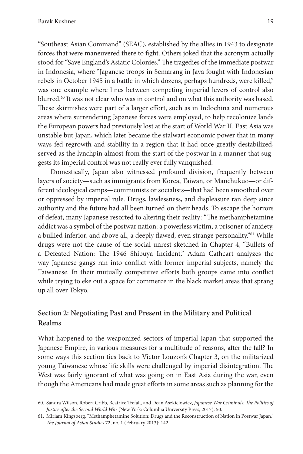"Southeast Asian Command" (SEAC), established by the allies in 1943 to designate forces that were maneuvered there to fight. Others joked that the acronym actually stood for "Save England's Asiatic Colonies." The tragedies of the immediate postwar in Indonesia, where "Japanese troops in Semarang in Java fought with Indonesian rebels in October 1945 in a battle in which dozens, perhaps hundreds, were killed," was one example where lines between competing imperial levers of control also blurred.<sup>60</sup> It was not clear who was in control and on what this authority was based. These skirmishes were part of a larger effort, such as in Indochina and numerous areas where surrendering Japanese forces were employed, to help recolonize lands the European powers had previously lost at the start of World War II. East Asia was unstable but Japan, which later became the stalwart economic power that in many ways fed regrowth and stability in a region that it had once greatly destabilized, served as the lynchpin almost from the start of the postwar in a manner that suggests its imperial control was not really ever fully vanquished.

Domestically, Japan also witnessed profound division, frequently between layers of society—such as immigrants from Korea, Taiwan, or Manchukuo—or different ideological camps—communists or socialists—that had been smoothed over or oppressed by imperial rule. Drugs, lawlessness, and displeasure ran deep since authority and the future had all been turned on their heads. To escape the horrors of defeat, many Japanese resorted to altering their reality: "The methamphetamine addict was a symbol of the postwar nation: a powerless victim, a prisoner of anxiety, a bullied inferior, and above all, a deeply flawed, even strange personality."<sup>61</sup> While drugs were not the cause of the social unrest sketched in Chapter 4, "Bullets of a Defeated Nation: The 1946 Shibuya Incident," Adam Cathcart analyzes the way Japanese gangs ran into conflict with former imperial subjects, namely the Taiwanese. In their mutually competitive efforts both groups came into conflict while trying to eke out a space for commerce in the black market areas that sprang up all over Tokyo.

#### **Section 2: Negotiating Past and Present in the Military and Political Realms**

What happened to the weaponized sectors of imperial Japan that supported the Japanese Empire, in various measures for a multitude of reasons, after the fall? In some ways this section ties back to Victor Louzon's Chapter 3, on the militarized young Taiwanese whose life skills were challenged by imperial disintegration. The West was fairly ignorant of what was going on in East Asia during the war, even though the Americans had made great efforts in some areas such as planning for the

<sup>60.</sup> Sandra Wilson, Robert Cribb, Beatrice Trefalt, and Dean Aszkielowicz, *Japanese War Criminals: The Politics of Justice after the Second World War* (New York: Columbia University Press, 2017), 50.

<sup>61.</sup> Miriam Kingsberg, "Methamphetamine Solution: Drugs and the Reconstruction of Nation in Postwar Japan," *The Journal of Asian Studies* 72, no. 1 (February 2013): 142.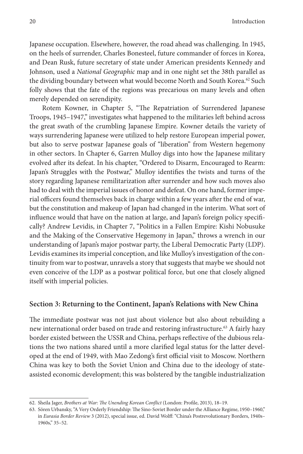Japanese occupation. Elsewhere, however, the road ahead was challenging. In 1945, on the heels of surrender, Charles Bonesteel, future commander of forces in Korea, and Dean Rusk, future secretary of state under American presidents Kennedy and Johnson, used a *National Geographic* map and in one night set the 38th parallel as the dividing boundary between what would become North and South Korea.<sup>62</sup> Such folly shows that the fate of the regions was precarious on many levels and often merely depended on serendipity.

Rotem Kowner, in Chapter 5, "The Repatriation of Surrendered Japanese Troops, 1945–1947," investigates what happened to the militaries left behind across the great swath of the crumbling Japanese Empire. Kowner details the variety of ways surrendering Japanese were utilized to help restore European imperial power, but also to serve postwar Japanese goals of "liberation" from Western hegemony in other sectors. In Chapter 6, Garren Mulloy digs into how the Japanese military evolved after its defeat. In his chapter, "Ordered to Disarm, Encouraged to Rearm: Japan's Struggles with the Postwar," Mulloy identifies the twists and turns of the story regarding Japanese remilitarization after surrender and how such moves also had to deal with the imperial issues of honor and defeat. On one hand, former imperial officers found themselves back in charge within a few years after the end of war, but the constitution and makeup of Japan had changed in the interim. What sort of influence would that have on the nation at large, and Japan's foreign policy specifically? Andrew Levidis, in Chapter 7, "Politics in a Fallen Empire: Kishi Nobusuke and the Making of the Conservative Hegemony in Japan," throws a wrench in our understanding of Japan's major postwar party, the Liberal Democratic Party (LDP). Levidis examines its imperial conception, and like Mulloy's investigation of the continuity from war to postwar, unravels a story that suggests that maybe we should not even conceive of the LDP as a postwar political force, but one that closely aligned itself with imperial policies.

#### **Section 3: Returning to the Continent, Japan's Relations with New China**

The immediate postwar was not just about violence but also about rebuilding a new international order based on trade and restoring infrastructure.<sup>63</sup> A fairly hazy border existed between the USSR and China, perhaps reflective of the dubious relations the two nations shared until a more clarified legal status for the latter developed at the end of 1949, with Mao Zedong's first official visit to Moscow. Northern China was key to both the Soviet Union and China due to the ideology of stateassisted economic development; this was bolstered by the tangible industrialization

<sup>62.</sup> Sheila Jager, *Brothers at War: The Unending Korean Conflict* (London: Profile, 2013), 18–19.

<sup>63.</sup> Sören Urbansky, "A Very Orderly Friendship: The Sino-Soviet Border under the Alliance Regime, 1950–1960," in *Eurasia Border Review* 3 (2012), special issue, ed. David Wolff: "China's Postrevolutionary Borders, 1940s– 1960s," 35–52.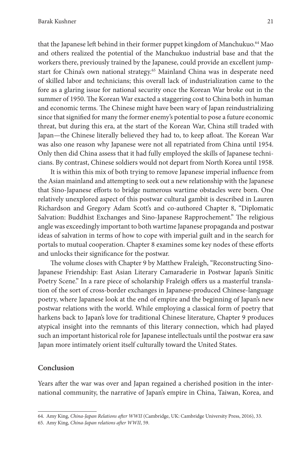that the Japanese left behind in their former puppet kingdom of Manchukuo.64 Mao and others realized the potential of the Manchukuo industrial base and that the workers there, previously trained by the Japanese, could provide an excellent jumpstart for China's own national strategy.<sup>65</sup> Mainland China was in desperate need of skilled labor and technicians; this overall lack of industrialization came to the fore as a glaring issue for national security once the Korean War broke out in the summer of 1950. The Korean War exacted a staggering cost to China both in human and economic terms. The Chinese might have been wary of Japan reindustrializing since that signified for many the former enemy's potential to pose a future economic threat, but during this era, at the start of the Korean War, China still traded with Japan—the Chinese literally believed they had to, to keep afloat. The Korean War was also one reason why Japanese were not all repatriated from China until 1954. Only then did China assess that it had fully employed the skills of Japanese technicians. By contrast, Chinese soldiers would not depart from North Korea until 1958.

It is within this mix of both trying to remove Japanese imperial influence from the Asian mainland and attempting to seek out a new relationship with the Japanese that Sino-Japanese efforts to bridge numerous wartime obstacles were born. One relatively unexplored aspect of this postwar cultural gambit is described in Lauren Richardson and Gregory Adam Scott's and co-authored Chapter 8, "Diplomatic Salvation: Buddhist Exchanges and Sino-Japanese Rapprochement." The religious angle was exceedingly important to both wartime Japanese propaganda and postwar ideas of salvation in terms of how to cope with imperial guilt and in the search for portals to mutual cooperation. Chapter 8 examines some key nodes of these efforts and unlocks their significance for the postwar.

The volume closes with Chapter 9 by Matthew Fraleigh, "Reconstructing Sino-Japanese Friendship: East Asian Literary Camaraderie in Postwar Japan's Sinitic Poetry Scene." In a rare piece of scholarship Fraleigh offers us a masterful translation of the sort of cross-border exchanges in Japanese-produced Chinese-language poetry, where Japanese look at the end of empire and the beginning of Japan's new postwar relations with the world. While employing a classical form of poetry that harkens back to Japan's love for traditional Chinese literature, Chapter 9 produces atypical insight into the remnants of this literary connection, which had played such an important historical role for Japanese intellectuals until the postwar era saw Japan more intimately orient itself culturally toward the United States.

#### **Conclusion**

Years after the war was over and Japan regained a cherished position in the international community, the narrative of Japan's empire in China, Taiwan, Korea, and

<sup>64.</sup> Amy King, *China-Japan Relations after WWII* (Cambridge, UK: Cambridge University Press, 2016), 33.

<sup>65.</sup> Amy King, *China-Japan relations after WWII*, 59.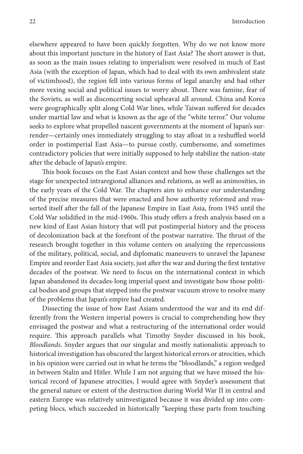elsewhere appeared to have been quickly forgotten. Why do we not know more about this important juncture in the history of East Asia? The short answer is that, as soon as the main issues relating to imperialism were resolved in much of East Asia (with the exception of Japan, which had to deal with its own ambivalent state of victimhood), the region fell into various forms of legal anarchy and had other more vexing social and political issues to worry about. There was famine, fear of the Soviets, as well as disconcerting social upheaval all around. China and Korea were geographically split along Cold War lines, while Taiwan suffered for decades under martial law and what is known as the age of the "white terror." Our volume seeks to explore what propelled nascent governments at the moment of Japan's surrender—certainly ones immediately struggling to stay afloat in a reshuffled world order in postimperial East Asia—to pursue costly, cumbersome, and sometimes contradictory policies that were initially supposed to help stabilize the nation-state after the debacle of Japan's empire.

This book focuses on the East Asian context and how these challenges set the stage for unexpected intraregional alliances and relations, as well as animosities, in the early years of the Cold War. The chapters aim to enhance our understanding of the precise measures that were enacted and how authority reformed and reasserted itself after the fall of the Japanese Empire in East Asia, from 1945 until the Cold War solidified in the mid-1960s. This study offers a fresh analysis based on a new kind of East Asian history that will put postimperial history and the process of decolonization back at the forefront of the postwar narrative. The thrust of the research brought together in this volume centers on analyzing the repercussions of the military, political, social, and diplomatic maneuvers to unravel the Japanese Empire and reorder East Asia society, just after the war and during the first tentative decades of the postwar. We need to focus on the international context in which Japan abandoned its decades-long imperial quest and investigate how those political bodies and groups that stepped into the postwar vacuum strove to resolve many of the problems that Japan's empire had created.

Dissecting the issue of how East Asians understood the war and its end differently from the Western imperial powers is crucial to comprehending how they envisaged the postwar and what a restructuring of the international order would require. This approach parallels what Timothy Snyder discussed in his book, *Bloodlands*. Snyder argues that our singular and mostly nationalistic approach to historical investigation has obscured the largest historical errors or atrocities, which in his opinion were carried out in what he terms the "bloodlands," a region wedged in between Stalin and Hitler. While I am not arguing that we have missed the historical record of Japanese atrocities, I would agree with Snyder's assessment that the general nature or extent of the destruction during World War II in central and eastern Europe was relatively uninvestigated because it was divided up into competing blocs, which succeeded in historically "keeping these parts from touching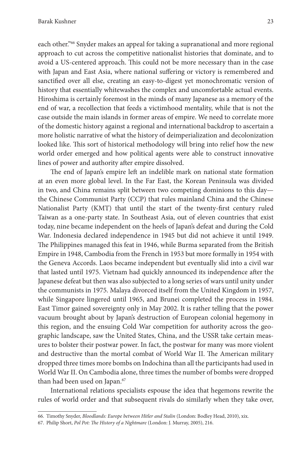each other."66 Snyder makes an appeal for taking a supranational and more regional approach to cut across the competitive nationalist histories that dominate, and to avoid a US-centered approach. This could not be more necessary than in the case with Japan and East Asia, where national suffering or victory is remembered and sanctified over all else, creating an easy-to-digest yet monochromatic version of history that essentially whitewashes the complex and uncomfortable actual events. Hiroshima is certainly foremost in the minds of many Japanese as a memory of the end of war, a recollection that feeds a victimhood mentality, while that is not the case outside the main islands in former areas of empire. We need to correlate more of the domestic history against a regional and international backdrop to ascertain a more holistic narrative of what the history of deimperialization and decolonization looked like. This sort of historical methodology will bring into relief how the new world order emerged and how political agents were able to construct innovative lines of power and authority after empire dissolved.

The end of Japan's empire left an indelible mark on national state formation at an even more global level. In the Far East, the Korean Peninsula was divided in two, and China remains split between two competing dominions to this day the Chinese Communist Party (CCP) that rules mainland China and the Chinese Nationalist Party (KMT) that until the start of the twenty-first century ruled Taiwan as a one-party state. In Southeast Asia, out of eleven countries that exist today, nine became independent on the heels of Japan's defeat and during the Cold War. Indonesia declared independence in 1945 but did not achieve it until 1949. The Philippines managed this feat in 1946, while Burma separated from the British Empire in 1948, Cambodia from the French in 1953 but more formally in 1954 with the Geneva Accords. Laos became independent but eventually slid into a civil war that lasted until 1975. Vietnam had quickly announced its independence after the Japanese defeat but then was also subjected to a long series of wars until unity under the communists in 1975. Malaya divorced itself from the United Kingdom in 1957, while Singapore lingered until 1965, and Brunei completed the process in 1984. East Timor gained sovereignty only in May 2002. It is rather telling that the power vacuum brought about by Japan's destruction of European colonial hegemony in this region, and the ensuing Cold War competition for authority across the geographic landscape, saw the United States, China, and the USSR take certain measures to bolster their postwar power. In fact, the postwar for many was more violent and destructive than the mortal combat of World War II. The American military dropped three times more bombs on Indochina than all the participants had used in World War II. On Cambodia alone, three times the number of bombs were dropped than had been used on Japan.<sup>67</sup>

International relations specialists espouse the idea that hegemons rewrite the rules of world order and that subsequent rivals do similarly when they take over,

<sup>66.</sup> Timothy Snyder, *Bloodlands: Europe between Hitler and Stalin* (London: Bodley Head, 2010), xix.

<sup>67.</sup> Philip Short, *Pol Pot: The History of a Nightmare* (London: J. Murray, 2005), 216.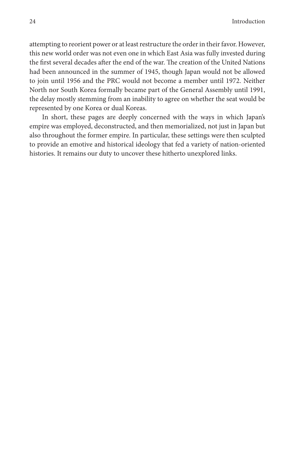attempting to reorient power or at least restructure the order in their favor. However, this new world order was not even one in which East Asia was fully invested during the first several decades after the end of the war. The creation of the United Nations had been announced in the summer of 1945, though Japan would not be allowed to join until 1956 and the PRC would not become a member until 1972. Neither North nor South Korea formally became part of the General Assembly until 1991, the delay mostly stemming from an inability to agree on whether the seat would be represented by one Korea or dual Koreas.

In short, these pages are deeply concerned with the ways in which Japan's empire was employed, deconstructed, and then memorialized, not just in Japan but also throughout the former empire. In particular, these settings were then sculpted to provide an emotive and historical ideology that fed a variety of nation-oriented histories. It remains our duty to uncover these hitherto unexplored links.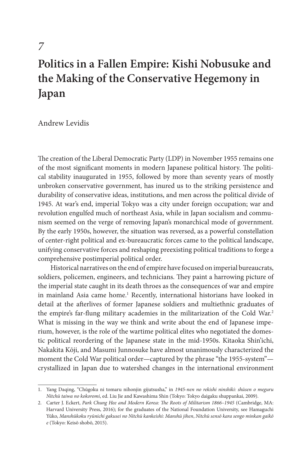*7*

# **Politics in a Fallen Empire: Kishi Nobusuke and the Making of the Conservative Hegemony in Japan**

Andrew Levidis

The creation of the Liberal Democratic Party (LDP) in November 1955 remains one of the most significant moments in modern Japanese political history. The political stability inaugurated in 1955, followed by more than seventy years of mostly unbroken conservative government, has inured us to the striking persistence and durability of conservative ideas, institutions, and men across the political divide of 1945. At war's end, imperial Tokyo was a city under foreign occupation; war and revolution engulfed much of northeast Asia, while in Japan socialism and communism seemed on the verge of removing Japan's monarchical mode of government. By the early 1950s, however, the situation was reversed, as a powerful constellation of center-right political and ex-bureaucratic forces came to the political landscape, unifying conservative forces and reshaping preexisting political traditions to forge a comprehensive postimperial political order.

Historical narratives on the end of empire have focused on imperial bureaucrats, soldiers, policemen, engineers, and technicians. They paint a harrowing picture of the imperial state caught in its death throes as the consequences of war and empire in mainland Asia came home.<sup>1</sup> Recently, international historians have looked in detail at the afterlives of former Japanese soldiers and multiethnic graduates of the empire's far-flung military academies in the militarization of the Cold War.2 What is missing in the way we think and write about the end of Japanese imperium, however, is the role of the wartime political elites who negotiated the domestic political reordering of the Japanese state in the mid-1950s. Kitaoka Shin'ichi, Nakakita Kōji, and Masumi Junnosuke have almost unanimously characterized the moment the Cold War political order—captured by the phrase "the 1955-system" crystallized in Japan due to watershed changes in the international environment

<sup>1.</sup> Yang Daqing, "Chūgoku ni tomaru nihonjin gijutsusha," in *1945-nen no rekishi ninshiki: shūsen o meguru Nitchū taiwa no kokoromi*, ed. Liu Jie and Kawashima Shin (Tokyo: Tokyo daigaku shuppankai, 2009).

<sup>2.</sup> Carter J. Eckert, *Park Chung Hee and Modern Korea: The Roots of Militarism 1866–1945* (Cambridge, MA: Harvard University Press, 2016); for the graduates of the National Foundation University, see Hamaguchi Yūko, *Manshūkoku ryūnichi gakusei no Nitchū kankeishi: Manshū jihen*, *Nitchū sensō kara sengo minkan gaikō e* (Tokyo: Keisō shobō, 2015).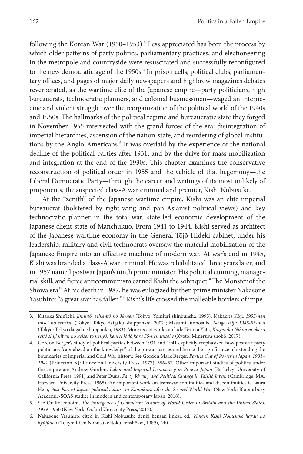following the Korean War (1950–1953).<sup>3</sup> Less appreciated has been the process by which older patterns of party politics, parliamentary practices, and electioneering in the metropole and countryside were resuscitated and successfully reconfigured to the new democratic age of the 1950s.<sup>4</sup> In prison cells, political clubs, parliamentary offices, and pages of major daily newspapers and highbrow magazines debates reverberated, as the wartime elite of the Japanese empire—party politicians, high bureaucrats, technocratic planners, and colonial businessmen—waged an internecine and violent struggle over the reorganization of the political world of the 1940s and 1950s. The hallmarks of the political regime and bureaucratic state they forged in November 1955 intersected with the grand forces of the era: disintegration of imperial hierarchies, ascension of the nation-state, and reordering of global institutions by the Anglo-Americans.<sup>5</sup> It was overlaid by the experience of the national decline of the political parties after 1931, and by the drive for mass mobilization and integration at the end of the 1930s. This chapter examines the conservative reconstruction of political order in 1955 and the vehicle of that hegemony—the Liberal Democratic Party—through the career and writings of its most unlikely of proponents, the suspected class-A war criminal and premier, Kishi Nobusuke.

At the "zenith" of the Japanese wartime empire, Kishi was an elite imperial bureaucrat (bolstered by right-wing and pan-Asianist political views) and key technocratic planner in the total-war, state-led economic development of the Japanese client-state of Manchukuo. From 1941 to 1944, Kishi served as architect of the Japanese wartime economy in the General Tōjō Hideki cabinet; under his leadership, military and civil technocrats oversaw the material mobilization of the Japanese Empire into an effective machine of modern war. At war's end in 1945, Kishi was branded a class-A war criminal. He was rehabilitated three years later, and in 1957 named postwar Japan's ninth prime minister. His political cunning, managerial skill, and fierce anticommunism earned Kishi the sobriquet "The Monster of the Shōwa era." At his death in 1987, he was eulogized by then prime minister Nakasone Yasuhiro: "a great star has fallen."<sup>6</sup> Kishi's life crossed the malleable borders of impe-

<sup>3.</sup> Kitaoka Shin'ichi, *Jimintō: seikentō no 38-nen* (Tokyo: Yomiuri shinbunsha, 1995); Nakakita Kōji, *1955-nen taisei no seiritsu* (Tokyo: Tokyo daigaku shuppankai, 2002); Masumi Junnosuke, *Sengo seiji: 1945-55-nen* (Tokyo: Tokyo daigaku shuppankai, 1983). More recent works include Tezuka Yūta, *Kingendai Nihon ni okeru seitō shiji kiban no keisei to henyō: kensei jōdō kara 55-nen taisei e* (Kyoto: Mineruva shobō, 2017).

<sup>4.</sup> Gordon Berger's study of political parties between 1931 and 1941 explicitly emphasized how postwar party politicians "capitalized on the knowledge" of the prewar parties and hence the significance of extending the boundaries of imperial and Cold War history. See Gordon Mark Berger, *Parties Out of Power in Japan*, *1931– 1941* (Princeton NJ: Princeton University Press, 1977), 356–57. Other important studies of politics under the empire are Andrew Gordon, *Labor and Imperial Democracy in Prewar Japan* (Berkeley: University of California Press, 1991) and Peter Duus, *Party Rivalry and Political Change in Taishō Japan* (Cambridge, MA: Harvard University Press, 1968). An important work on transwar continuities and discontinuities is Laura Hein, *Post-Fascist Japan: political culture in Kamakura after the Second World War* (New York: Bloomsbury Academic/SOAS studies in modern and contemporary Japan, 2018).

<sup>5.</sup> See Or Rosenboim, *The Emergence of Globalism: Visions of World Order in Britain and the United States*, *1939–*1950 (New York: Oxford University Press, 2017).

<sup>6.</sup> Nakasone Yasuhiro, cited in Kishi Nobusuke denki hensan iinkai, ed., *Ningen Kishi Nobusuke haran no kyūjūnen* (Tokyo: Kishi Nobusuke itoku kenshōkai, 1989), 240.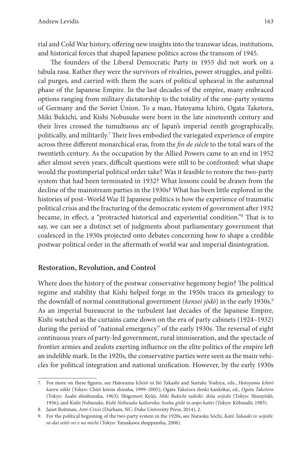rial and Cold War history, offering new insights into the transwar ideas, institutions, and historical forces that shaped Japanese politics across the transom of 1945.

The founders of the Liberal Democratic Party in 1955 did not work on a tabula rasa. Rather they were the survivors of rivalries, power struggles, and political purges, and carried with them the scars of political upheaval in the autumnal phase of the Japanese Empire. In the last decades of the empire, many embraced options ranging from military dictatorship to the totality of the one-party systems of Germany and the Soviet Union. To a man, Hatoyama Ichirō, Ogata Taketora, Miki Bukichi, and Kishi Nobusuke were born in the late nineteenth century and their lives crossed the tumultuous arc of Japan's imperial zenith geographically, politically, and militarily.<sup>7</sup> Their lives embodied the variegated experience of empire across three different monarchical eras, from the *fin de siècle* to the total wars of the twentieth century. As the occupation by the Allied Powers came to an end in 1952 after almost seven years, difficult questions were still to be confronted: what shape would the postimperial political order take? Was it feasible to restore the two-party system that had been terminated in 1932? What lessons could be drawn from the decline of the mainstream parties in the 1930s? What has been little explored in the histories of post–World War II Japanese politics is how the experience of traumatic political crisis and the fracturing of the democratic system of government after 1932 became, in effect, a "protracted historical and experiential condition."8 That is to say, we can see a distinct set of judgments about parliamentary government that coalesced in the 1930s projected onto debates concerning how to shape a credible postwar political order in the aftermath of world war and imperial disintegration.

#### **Restoration, Revolution, and Control**

Where does the history of the postwar conservative hegemony begin? The political regime and stability that Kishi helped forge in the 1950s traces its genealogy to the downfall of normal constitutional government (*kensei jōdō*) in the early 1930s.<sup>9</sup> As an imperial bureaucrat in the turbulent last decades of the Japanese Empire, Kishi watched as the curtains came down on the era of party cabinets (1924–1932) during the period of "national emergency" of the early 1930s. The reversal of eight continuous years of party-led government, rural immiseration, and the spectacle of frontier armies and zealots exerting influence on the elite politics of the empire left an indelible mark. In the 1920s, the conservative parties were seen as the main vehicles for political integration and national unification. However, by the early 1930s

<sup>7.</sup> For more on these figures, see Hatoyama Ichirō in Itō Takashi and Suetake Yoshiya, eds., *Hatoyama Ichirō kaoru nikki* (Tokyo: Chūō kōron shinsha, 1999–2005); Ogata Taketora denki kankōkai, ed., *Ogata Taketora* (Tokyo: Asahi shinbunsha, 1963); Shigemori Kyūji, *Miki Bukichi taikōki: ikita seijishi* (Tokyo: Shunyōdō, 1956); and Kishi Nobusuke, *Kishi Nobusuke kaikoroku: hoshu gōdō to anpo kaitei* (Tokyo: Kōbundō, 1983).

<sup>8.</sup> Janet Roitman, *Anti-Crisis* (Durham, NC: Duke University Press, 2014), 2.

<sup>9.</sup> For the political beginning of the two-party system in the 1920s, see Naraoka Sōchi, *Katō Takaaki to seijishi: ni-dai seitō-sei e no michi* (Tokyo: Yamakawa shuppansha, 2006).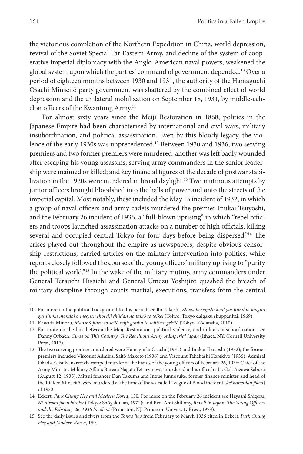the victorious completion of the Northern Expedition in China, world depression, revival of the Soviet Special Far Eastern Army, and decline of the system of cooperative imperial diplomacy with the Anglo-American naval powers, weakened the global system upon which the parties' command of government depended.10 Over a period of eighteen months between 1930 and 1931, the authority of the Hamaguchi Osachi Minseitō party government was shattered by the combined effect of world depression and the unilateral mobilization on September 18, 1931, by middle-echelon officers of the Kwantung Army.<sup>11</sup>

For almost sixty years since the Meiji Restoration in 1868, politics in the Japanese Empire had been characterized by international and civil wars, military insubordination, and political assassination. Even by this bloody legacy, the violence of the early 1930s was unprecedented.<sup>12</sup> Between 1930 and 1936, two serving premiers and two former premiers were murdered; another was left badly wounded after escaping his young assassins; serving army commanders in the senior leadership were maimed or killed; and key financial figures of the decade of postwar stabilization in the 1920s were murdered in broad daylight.<sup>13</sup> Two mutinous attempts by junior officers brought bloodshed into the halls of power and onto the streets of the imperial capital. Most notably, these included the May 15 incident of 1932, in which a group of naval officers and army cadets murdered the premier Inukai Tsuyoshi, and the February 26 incident of 1936, a "full-blown uprising" in which "rebel officers and troops launched assassination attacks on a number of high officials, killing several and occupied central Tokyo for four days before being dispersed."<sup>14</sup> The crises played out throughout the empire as newspapers, despite obvious censorship restrictions, carried articles on the military intervention into politics, while reports closely followed the course of the young officers' military uprising to "purify the political world."15 In the wake of the military mutiny, army commanders under General Terauchi Hisaichi and General Umezu Yoshijirō quashed the breach of military discipline through courts-martial, executions, transfers from the central

<sup>10.</sup> For more on the political background to this period see Itō Takashi, *Shōwaki seijishi kenkyū: Rondon kaigun gunshuku mondai o meguru shoseiji shūdan no taikō to teikei* (Tokyo: Tokyo daigaku shuppankai, 1969).

<sup>11.</sup> Kawada Minoru, *Manshū jihen to seitō seiji: gunbu to seitō no gekitō* (Tokyo: Kōdansha, 2010).

<sup>12.</sup> For more on the link between the Meiji Restoration, political violence, and military insubordination, see Danny Orbach, *Curse on This Country: The Rebellious Army of Imperial Japan* (Ithaca, NY: Cornell University Press, 2017).

<sup>13.</sup> The two serving premiers murdered were Hamaguchi Osachi (1931) and Inukai Tsuyoshi (1932); the former premiers included Viscount Admiral Saitō Makoto (1936) and Viscount Takahashi Korekiyo (1936); Admiral Okada Keisuke narrowly escaped murder at the hands of the young officers of February 26, 1936; Chief of the Army Ministry Military Affairs Bureau Nagata Tetsuzan was murdered in his office by Lt. Col. Aizawa Saburō (August 12, 1935); Mitsui financer Dan Takuma and Inoue Junnosuke, former finance minister and head of the Rikken Minseitō, were murdered at the time of the so-called League of Blood incident (*ketsumeidan jiken*) of 1932.

<sup>14.</sup> Eckert, *Park Chung Hee and Modern Korea*, 150. For more on the February 26 incident see Hayashi Shigeru, *Ni-niroku jiken hiroku* (Tokyo: Shōgakukan, 1971); and Ben-Ami Shillony, *Revolt in Japan: The Young Officers and the February 26*, *1936 Incident* (Princeton, NJ: Princeton University Press, 1973).

<sup>15.</sup> See the daily issues and flyers from the *Tonga ilbo* from February to March 1936 cited in Eckert, *Park Chung Hee and Modern Korea*, 159.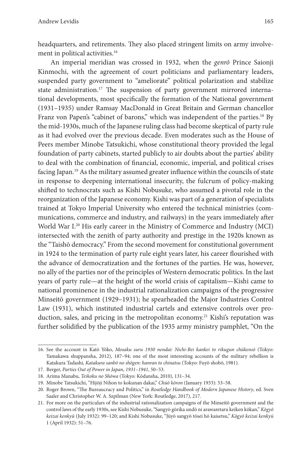headquarters, and retirements. They also placed stringent limits on army involvement in political activities.<sup>16</sup>

An imperial meridian was crossed in 1932, when the *genrō* Prince Saionji Kinmochi, with the agreement of court politicians and parliamentary leaders, suspended party government to "ameliorate" political polarization and stabilize state administration.<sup>17</sup> The suspension of party government mirrored international developments, most specifically the formation of the National government (1931–1935) under Ramsay MacDonald in Great Britain and German chancellor Franz von Papen's "cabinet of barons," which was independent of the parties.<sup>18</sup> By the mid-1930s, much of the Japanese ruling class had become skeptical of party rule as it had evolved over the previous decade. Even moderates such as the House of Peers member Minobe Tatsukichi, whose constitutional theory provided the legal foundation of party cabinets, started publicly to air doubts about the parties' ability to deal with the combination of financial, economic, imperial, and political crises facing Japan.<sup>19</sup> As the military assumed greater influence within the councils of state in response to deepening international insecurity, the fulcrum of policy-making shifted to technocrats such as Kishi Nobusuke, who assumed a pivotal role in the reorganization of the Japanese economy. Kishi was part of a generation of specialists trained at Tokyo Imperial University who entered the technical ministries (communications, commerce and industry, and railways) in the years immediately after World War I.20 His early career in the Ministry of Commerce and Industry (MCI) intersected with the zenith of party authority and prestige in the 1920s known as the "Taishō democracy." From the second movement for constitutional government in 1924 to the termination of party rule eight years later, his career flourished with the advance of democratization and the fortunes of the parties. He was, however, no ally of the parties nor of the principles of Western democratic politics. In the last years of party rule—at the height of the world crisis of capitalism—Kishi came to national prominence in the industrial rationalization campaigns of the progressive Minseitō government (1929–1931); he spearheaded the Major Industries Control Law (1931), which instituted industrial cartels and extensive controls over production, sales, and pricing in the metropolitan economy.<sup>21</sup> Kishi's reputation was further solidified by the publication of the 1935 army ministry pamphlet, "On the

<sup>16.</sup> See the account in Katō Yōko, *Mosaku suru 1930 nendai: Nichi-Bei kankei to rikugun chūkensō* (Tokyo: Yamakawa shuppansha, 2012), 187*–*94; one of the most interesting accounts of the military rebellion is Katakura Tadashi, *Katakura sanbō no shōgen: hanran to chinatsu* (Tokyo: Fuyō shobō, 1981).

<sup>17.</sup> Berger, *Parties Out of Power in Japan*, *1931–1941*, 50–53.

<sup>18.</sup> Arima Manabu, *Teikoku no Shōwa* (Tokyo: Kōdansha, 2010), 131–34.

<sup>19.</sup> Minobe Tatsukichi, "Hijōji Nihon to kokunan dakai," *Chūō kōron* (January 1933): 53–58.

<sup>20.</sup> Roger Brown, "The Bureaucracy and Politics," in *Routledge Handbook of Modern Japanese History*, ed. Sven Saaler and Christopher W. A. Szpilman (New York: Routledge, 2017), 217.

<sup>21.</sup> For more on the particulars of the industrial rationalization campaigns of the Minseitō government and the control laws of the early 1930s, see Kishi Nobusuke, "Sangyō gōrika undō ni arawaretaru keiken kōkan," *Kōgyō keizai kenkyū* (July 1932): 99–120; and Kishi Nobusuke, "Jūyō sangyō tōsei hō kaisetsu," *Kōgyō keizai kenkyū* 1 (April 1932): 51–76.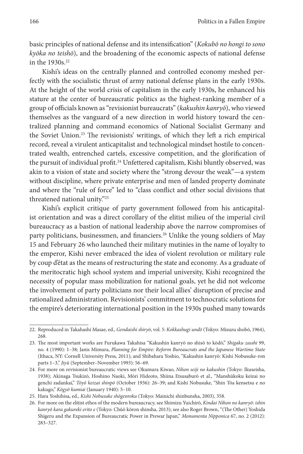basic principles of national defense and its intensification" (*Kokubō no hongi to sono kyōka no teishō*), and the broadening of the economic aspects of national defense in the 1930s.<sup>22</sup>

Kishi's ideas on the centrally planned and controlled economy meshed perfectly with the socialistic thrust of army national defense plans in the early 1930s. At the height of the world crisis of capitalism in the early 1930s, he enhanced his stature at the center of bureaucratic politics as the highest-ranking member of a group of officials known as "revisionist bureaucrats" (*kakushin kanryō*), who viewed themselves as the vanguard of a new direction in world history toward the centralized planning and command economics of National Socialist Germany and the Soviet Union.23 The revisionists' writings, of which they left a rich empirical record, reveal a virulent anticapitalist and technological mindset hostile to concentrated wealth, entrenched cartels, excessive competition, and the glorification of the pursuit of individual profit.<sup>24</sup> Unfettered capitalism, Kishi bluntly observed, was akin to a vision of state and society where the "strong devour the weak"—a system without discipline, where private enterprise and men of landed property dominate and where the "rule of force" led to "class conflict and other social divisions that threatened national unity."25

Kishi's explicit critique of party government followed from his anticapitalist orientation and was a direct corollary of the elitist milieu of the imperial civil bureaucracy as a bastion of national leadership above the narrow compromises of party politicians, businessmen, and financiers.<sup>26</sup> Unlike the young soldiers of May 15 and February 26 who launched their military mutinies in the name of loyalty to the emperor, Kishi never embraced the idea of violent revolution or military rule by coup d'état as the means of restructuring the state and economy. As a graduate of the meritocratic high school system and imperial university, Kishi recognized the necessity of popular mass mobilization for national goals, yet he did not welcome the involvement of party politicians nor their local allies' disruption of precise and rationalized administration. Revisionists' commitment to technocratic solutions for the empire's deteriorating international position in the 1930s pushed many towards

<sup>22.</sup> Reproduced in Takahashi Masae, ed., *Gendaishi shiryō*, vol. 5: *Kokkashugi undō* (Tokyo: Misuzu shobō, 1964), 268.

<sup>23.</sup> The most important works are Furukawa Takahisa "Kakushin kanryō no shisō to kōdō," *Shigaku zasshi* 99, no. 4 (1990): 1–38; Janis Mimura, *Planning for Empire: Reform Bureaucrats and the Japanese Wartime State* (Ithaca, NY: Cornell University Press, 2011); and Shibahara Yoshio, "Kakushin kanryō: Kishi Nobusuke-ron parts 1–3," *Jiyū* (September–November 1993): 56–69.

<sup>24.</sup> For more on revisionist bureaucratic views see Okumura Kiwao, *Nihon seiji no kakushin* (Tokyo: Ikuseisha, 1938); Akinaga Tsukizō, Hoshino Naoki, Mōri Hideoto, Shiina Etsusaburō et al., "Manshūkoku keizai no genchi zadankai," *Tōyō keizai shinpō* (October 1936): 26–39; and Kishi Nobusuke, "Shin Tōa kensetsu e no kakugo," *Kōgyō kumiai* (January 1940): 5–10.

<sup>25.</sup> Hara Yoshihisa, ed., *Kishi Nobusuke shōgenroku* (Tokyo: Mainichi shinbunsha, 2003), 358.

<sup>26.</sup> For more on the elitist ethos of the modern bureaucracy, see Shimizu Yuichirō, *Kindai Nihon no kanryō: ishin kanryō kara gakureki erito e* (Tokyo: Chūō kōron shinsha, 2013); see also Roger Brown, "(The Other) Yoshida Shigeru and the Expansion of Bureaucratic Power in Prewar Japan," *Monumenta Nipponica* 67, no. 2 (2012): 283–327.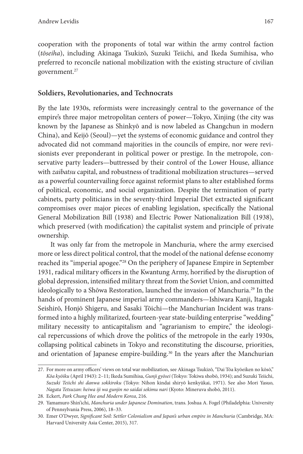cooperation with the proponents of total war within the army control faction (*tōseiha*), including Akinaga Tsukizō, Suzuki Teiichi, and Ikeda Sumihisa, who preferred to reconcile national mobilization with the existing structure of civilian government.27

#### **Soldiers, Revolutionaries, and Technocrats**

By the late 1930s, reformists were increasingly central to the governance of the empire's three major metropolitan centers of power—Tokyo, Xinjing (the city was known by the Japanese as Shinkyō and is now labeled as Changchun in modern China), and Keijō (Seoul)—yet the systems of economic guidance and control they advocated did not command majorities in the councils of empire, nor were revisionists ever preponderant in political power or prestige. In the metropole, conservative party leaders—buttressed by their control of the Lower House, alliance with *zaibatsu* capital, and robustness of traditional mobilization structures—served as a powerful countervailing force against reformist plans to alter established forms of political, economic, and social organization. Despite the termination of party cabinets, party politicians in the seventy-third Imperial Diet extracted significant compromises over major pieces of enabling legislation, specifically the National General Mobilization Bill (1938) and Electric Power Nationalization Bill (1938), which preserved (with modification) the capitalist system and principle of private ownership.

It was only far from the metropole in Manchuria, where the army exercised more or less direct political control, that the model of the national defense economy reached its "imperial apogee."28 On the periphery of Japanese Empire in September 1931, radical military officers in the Kwantung Army, horrified by the disruption of global depression, intensified military threat from the Soviet Union, and committed ideologically to a Shōwa Restoration, launched the invasion of Manchuria.<sup>29</sup> In the hands of prominent Japanese imperial army commanders—Ishiwara Kanji, Itagaki Seishirō, Honjō Shigeru, and Sasaki Tōichi—the Manchurian Incident was transformed into a highly militarized, fourteen-year state-building enterprise "wedding" military necessity to anticapitalism and "agrarianism to empire," the ideological repercussions of which drove the politics of the metropole in the early 1930s, collapsing political cabinets in Tokyo and reconstituting the discourse, priorities, and orientation of Japanese empire-building.<sup>30</sup> In the years after the Manchurian

<sup>27.</sup> For more on army officers' views on total war mobilization, see Akinaga Tsukizō, "Dai Tōa kyōeiken no kōsō," *Kōa kyōiku* (April 1943): 2–11; Ikeda Sumihisa, *Gunji gyōsei* (Tokyo: Tokiwa shobō, 1934); and Suzuki Teiichi, *Suzuki Teiichi shi danwa sokkiroku* (Tokyo: Nihon kindai shiryō kenkyūkai, 1971). See also Mori Yasuo, *Nagata Tetsuzan: heiwa iji wa gunjin no saidai sekimu nari* (Kyoto: Mineruva shobō, 2011).

<sup>28.</sup> Eckert, *Park Chung Hee and Modern Korea*, 216.

<sup>29.</sup> Yamamuro Shin'ichi, *Manchuria under Japanese Domination*, trans. Joshua A. Fogel (Philadelphia: University of Pennsylvania Press, 2006), 18–33.

<sup>30.</sup> Emer O'Dwyer, *Significant Soil: Settler Colonialism and Japan's urban empire in Manchuria* (Cambridge, MA: Harvard University Asia Center, 2015), 317.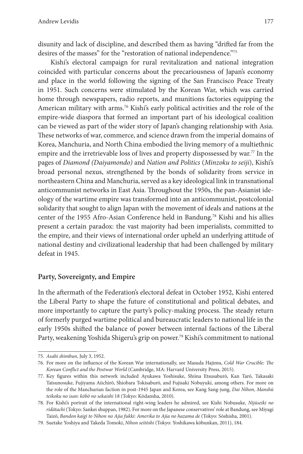disunity and lack of discipline, and described them as having "drifted far from the desires of the masses" for the "restoration of national independence."75

Kishi's electoral campaign for rural revitalization and national integration coincided with particular concerns about the precariousness of Japan's economy and place in the world following the signing of the San Francisco Peace Treaty in 1951. Such concerns were stimulated by the Korean War, which was carried home through newspapers, radio reports, and munitions factories equipping the American military with arms.76 Kishi's early political activities and the role of the empire-wide diaspora that formed an important part of his ideological coalition can be viewed as part of the wider story of Japan's changing relationship with Asia. These networks of war, commerce, and science drawn from the imperial domains of Korea, Manchuria, and North China embodied the living memory of a multiethnic empire and the irretrievable loss of lives and property dispossessed by war.<sup>77</sup> In the pages of *Diamond (Daiyamondo)* and *Nation and Politics* (*Minzoku to seiji*), Kishi's broad personal nexus, strengthened by the bonds of solidarity from service in northeastern China and Manchuria, served as a key ideological link in transnational anticommunist networks in East Asia. Throughout the 1950s, the pan-Asianist ideology of the wartime empire was transformed into an anticommunist, postcolonial solidarity that sought to align Japan with the movement of ideals and nations at the center of the 1955 Afro-Asian Conference held in Bandung.78 Kishi and his allies present a certain paradox: the vast majority had been imperialists, committed to the empire, and their views of international order upheld an underlying attitude of national destiny and civilizational leadership that had been challenged by military defeat in 1945.

#### **Party, Sovereignty, and Empire**

In the aftermath of the Federation's electoral defeat in October 1952, Kishi entered the Liberal Party to shape the future of constitutional and political debates, and more importantly to capture the party's policy-making process. The steady return of formerly purged wartime political and bureaucratic leaders to national life in the early 1950s shifted the balance of power between internal factions of the Liberal Party, weakening Yoshida Shigeru's grip on power.79 Kishi's commitment to national

<sup>75.</sup> *Asahi shimbun*, July 3, 1952.

<sup>76.</sup> For more on the influence of the Korean War internationally, see Masuda Hajimu, *Cold War Crucible: The Korean Conflict and the Postwar World* (Cambridge, MA: Harvard University Press, 2015).

<sup>77.</sup> Key figures within this network included Ayukawa Yoshisuke, Shiina Etsusaburō, Kan Tarō, Takasaki Tatsunosuke, Fujiyama Aiichirō, Shiobara Tokisaburō, and Fujisaki Nobuyuki, among others. For more on the role of the Manchurian faction in post-1945 Japan and Korea, see Kang Sang-jung, *Dai Nihon*, *Manshū teikoku no isan: kōbō no sekaishi* 18 (Tokyo: Kōdansha, 2010).

<sup>78.</sup> For Kishi's portrait of the international right-wing leaders he admired, see Kishi Nobusuke, *Nijūseiki no rīdātachi* (Tokyo: Sankei shuppan, 1982). For more on the Japanese conservatives' role at Bandung, see Miyagi Taizō, *Bandon kaigi to Nihon no Ajia fukki: Amerika to Ajia no hazama de* (Tokyo: Sōshisha, 2001).

<sup>79.</sup> Suetake Yoshiya and Takeda Tomoki, *Nihon seitōshi* (Tokyo: Yoshikawa kōbunkan, 2011), 184.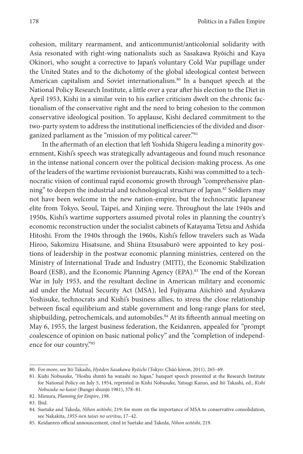cohesion, military rearmament, and anticommunist/anticolonial solidarity with Asia resonated with right-wing nationalists such as Sasakawa Ryōichi and Kaya Okinori, who sought a corrective to Japan's voluntary Cold War pupillage under the United States and to the dichotomy of the global ideological contest between American capitalism and Soviet internationalism.<sup>80</sup> In a banquet speech at the National Policy Research Institute, a little over a year after his election to the Diet in April 1953, Kishi in a similar vein to his earlier criticism dwelt on the chronic factionalism of the conservative right and the need to bring cohesion to the common conservative ideological position. To applause, Kishi declared commitment to the two-party system to address the institutional inefficiencies of the divided and disorganized parliament as the "mission of my political career."<sup>81</sup>

In the aftermath of an election that left Yoshida Shigeru leading a minority government, Kishi's speech was strategically advantageous and found much resonance in the intense national concern over the political decision-making process. As one of the leaders of the wartime revisionist bureaucrats, Kishi was committed to a technocratic vision of continual rapid economic growth through "comprehensive planning" to deepen the industrial and technological structure of Japan.<sup>82</sup> Soldiers may not have been welcome in the new nation-empire, but the technocratic Japanese elite from Tokyo, Seoul, Taipei, and Xinjing were. Throughout the late 1940s and 1950s, Kishi's wartime supporters assumed pivotal roles in planning the country's economic reconstruction under the socialist cabinets of Katayama Tetsu and Ashida Hitoshi. From the 1940s through the 1960s, Kishi's fellow travelers such as Wada Hiroo, Sakomizu Hisatsune, and Shiina Etsusaburō were appointed to key positions of leadership in the postwar economic planning ministries, centered on the Ministry of International Trade and Industry (MITI), the Economic Stabilization Board (ESB), and the Economic Planning Agency (EPA).<sup>83</sup> The end of the Korean War in July 1953, and the resultant decline in American military and economic aid under the Mutual Security Act (MSA), led Fujiyama Aiichirō and Ayukawa Yoshisuke, technocrats and Kishi's business allies, to stress the close relationship between fiscal equilibrium and stable government and long-range plans for steel, shipbuilding, petrochemicals, and automobiles.<sup>84</sup> At its fifteenth annual meeting on May 6, 1955, the largest business federation, the Keidanren, appealed for "prompt coalescence of opinion on basic national policy" and the "completion of independence for our country."85

<sup>80.</sup> For more, see Itō Takashi, *Hyōden Sasakawa Ryōichi* (Tokyo: Chūō kōron, 2011), 265–69.

<sup>81.</sup> Kishi Nobusuke, "Hoshu shintō ha watashi no higan," banquet speech presented at the Research Institute for National Policy on July 5, 1954, reprinted in Kishi Nobusuke, Yatsugi Kazuo, and Itō Takashi, ed., *Kishi Nobusuke no kaisō* (Bungei shunjū 1981), 378–81.

<sup>82.</sup> Mimura, *Planning for Empire*, 198.

<sup>83.</sup> Ibid.

<sup>84.</sup> Suetake and Takeda, *Nihon seitōshi*, 219; for more on the importance of MSA to conservative consolidation, see Nakakita, *1955-nen taisei no seiritsu*, 17–42.

<sup>85.</sup> Keidanren official announcement, cited in Suetake and Takeda, *Nihon seitōshi*, 219.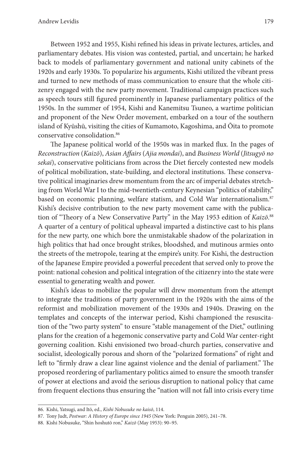Between 1952 and 1955, Kishi refined his ideas in private lectures, articles, and parliamentary debates. His vision was contested, partial, and uncertain; he harked back to models of parliamentary government and national unity cabinets of the 1920s and early 1930s. To popularize his arguments, Kishi utilized the vibrant press and turned to new methods of mass communication to ensure that the whole citizenry engaged with the new party movement. Traditional campaign practices such as speech tours still figured prominently in Japanese parliamentary politics of the 1950s. In the summer of 1954, Kishi and Kanemitsu Tsuneo, a wartime politician and proponent of the New Order movement, embarked on a tour of the southern island of Kyūshū, visiting the cities of Kumamoto, Kagoshima, and Ōita to promote conservative consolidation.86

The Japanese political world of the 1950s was in marked flux. In the pages of *Reconstruction* (*Kaizō*), *Asian Affairs* (*Ajia mondai*), and *Business World* (*Jitsugyō no sekai*), conservative politicians from across the Diet fiercely contested new models of political mobilization, state-building, and electoral institutions. These conservative political imaginaries drew momentum from the arc of imperial debates stretching from World War I to the mid-twentieth-century Keynesian "politics of stability," based on economic planning, welfare statism, and Cold War internationalism.<sup>87</sup> Kishi's decisive contribution to the new party movement came with the publication of "Theory of a New Conservative Party" in the May 1953 edition of *Kaizō*. 88 A quarter of a century of political upheaval imparted a distinctive cast to his plans for the new party, one which bore the unmistakable shadow of the polarization in high politics that had once brought strikes, bloodshed, and mutinous armies onto the streets of the metropole, tearing at the empire's unity. For Kishi, the destruction of the Japanese Empire provided a powerful precedent that served only to prove the point: national cohesion and political integration of the citizenry into the state were essential to generating wealth and power.

Kishi's ideas to mobilize the popular will drew momentum from the attempt to integrate the traditions of party government in the 1920s with the aims of the reformist and mobilization movement of the 1930s and 1940s. Drawing on the templates and concepts of the interwar period, Kishi championed the resuscitation of the "two party system" to ensure "stable management of the Diet," outlining plans for the creation of a hegemonic conservative party and Cold War center-right governing coalition. Kishi envisioned two broad-church parties, conservative and socialist, ideologically porous and shorn of the "polarized formations" of right and left to "firmly draw a clear line against violence and the denial of parliament." The proposed reordering of parliamentary politics aimed to ensure the smooth transfer of power at elections and avoid the serious disruption to national policy that came from frequent elections thus ensuring the "nation will not fall into crisis every time

<sup>86.</sup> Kishi, Yatsugi, and Itō, ed., *Kishi Nobusuke no kaisō*, 114.

<sup>87.</sup> Tony Judt, *Postwar: A History of Europe since 1945* (New York: Penguin 2005), 241–78.

<sup>88.</sup> Kishi Nobusuke, "Shin hoshutō ron," *Kaizō* (May 1953): 90–95.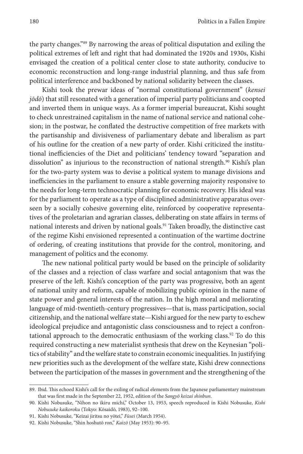the party changes."89 By narrowing the areas of political disputation and exiling the political extremes of left and right that had dominated the 1920s and 1930s, Kishi envisaged the creation of a political center close to state authority, conducive to economic reconstruction and long-range industrial planning, and thus safe from political interference and backboned by national solidarity between the classes.

Kishi took the prewar ideas of "normal constitutional government" (*kensei jōdō*) that still resonated with a generation of imperial party politicians and coopted and inverted them in unique ways. As a former imperial bureaucrat, Kishi sought to check unrestrained capitalism in the name of national service and national cohesion; in the postwar, he conflated the destructive competition of free markets with the partisanship and divisiveness of parliamentary debate and liberalism as part of his outline for the creation of a new party of order. Kishi criticized the institutional inefficiencies of the Diet and politicians' tendency toward "separation and dissolution" as injurious to the reconstruction of national strength.<sup>90</sup> Kishi's plan for the two-party system was to devise a political system to manage divisions and inefficiencies in the parliament to ensure a stable governing majority responsive to the needs for long-term technocratic planning for economic recovery. His ideal was for the parliament to operate as a type of disciplined administrative apparatus overseen by a socially cohesive governing elite, reinforced by cooperative representatives of the proletarian and agrarian classes, deliberating on state affairs in terms of national interests and driven by national goals.91 Taken broadly, the distinctive cast of the regime Kishi envisioned represented a continuation of the wartime doctrine of ordering, of creating institutions that provide for the control, monitoring, and management of politics and the economy.

The new national political party would be based on the principle of solidarity of the classes and a rejection of class warfare and social antagonism that was the preserve of the left. Kishi's conception of the party was progressive, both an agent of national unity and reform, capable of mobilizing public opinion in the name of state power and general interests of the nation. In the high moral and meliorating language of mid-twentieth-century progressives—that is, mass participation, social citizenship, and the national welfare state—Kishi argued for the new party to eschew ideological prejudice and antagonistic class consciousness and to reject a confrontational approach to the democratic enthusiasm of the working class.<sup>92</sup> To do this required constructing a new materialist synthesis that drew on the Keynesian "politics of stability" and the welfare state to constrain economic inequalities. In justifying new priorities such as the development of the welfare state, Kishi drew connections between the participation of the masses in government and the strengthening of the

<sup>89.</sup> Ibid. This echoed Kishi's call for the exiling of radical elements from the Japanese parliamentary mainstream that was first made in the September 22, 1952, edition of the *Sangyō keizai shinbun*.

<sup>90.</sup> Kishi Nobusuke, "Nihon no ikiru michi," October 13, 1953, speech reproduced in Kishi Nobusuke, *Kishi Nobusuke kaikoroku* (Tokyo: Kōsaidō, 1983), 92–100.

<sup>91.</sup> Kishi Nobusuke, "Keizai jiritsu no yōtei," *Fūsei* (March 1954).

<sup>92.</sup> Kishi Nobusuke, "Shin hoshutō ron," *Kaizō* (May 1953): 90–95.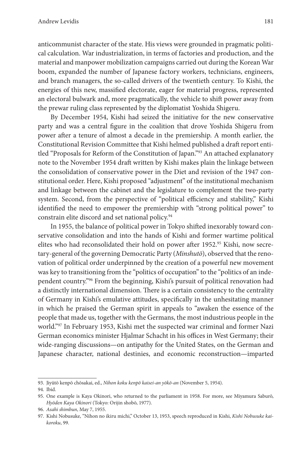anticommunist character of the state. His views were grounded in pragmatic political calculation. War industrialization, in terms of factories and production, and the material and manpower mobilization campaigns carried out during the Korean War boom, expanded the number of Japanese factory workers, technicians, engineers, and branch managers, the so-called drivers of the twentieth century. To Kishi, the energies of this new, massified electorate, eager for material progress, represented an electoral bulwark and, more pragmatically, the vehicle to shift power away from the prewar ruling class represented by the diplomatist Yoshida Shigeru.

By December 1954, Kishi had seized the initiative for the new conservative party and was a central figure in the coalition that drove Yoshida Shigeru from power after a tenure of almost a decade in the premiership. A month earlier, the Constitutional Revision Committee that Kishi helmed published a draft report entitled "Proposals for Reform of the Constitution of Japan."93 An attached explanatory note to the November 1954 draft written by Kishi makes plain the linkage between the consolidation of conservative power in the Diet and revision of the 1947 constitutional order. Here, Kishi proposed "adjustment" of the institutional mechanism and linkage between the cabinet and the legislature to complement the two-party system. Second, from the perspective of "political efficiency and stability," Kishi identified the need to empower the premiership with "strong political power" to constrain elite discord and set national policy.<sup>94</sup>

In 1955, the balance of political power in Tokyo shifted inexorably toward conservative consolidation and into the hands of Kishi and former wartime political elites who had reconsolidated their hold on power after 1952.<sup>95</sup> Kishi, now secretary-general of the governing Democratic Party (*Minshutō*), observed that the renovation of political order underpinned by the creation of a powerful new movement was key to transitioning from the "politics of occupation" to the "politics of an independent country."96 From the beginning, Kishi's pursuit of political renovation had a distinctly international dimension. There is a certain consistency to the centrality of Germany in Kishi's emulative attitudes, specifically in the unhesitating manner in which he praised the German spirit in appeals to "awaken the essence of the people that made us, together with the Germans, the most industrious people in the world."97 In February 1953, Kishi met the suspected war criminal and former Nazi German economics minister Hjalmar Schacht in his offices in West Germany; their wide-ranging discussions—on antipathy for the United States, on the German and Japanese character, national destinies, and economic reconstruction—imparted

<sup>93.</sup> Jiyūtō kenpō chōsakai, ed., *Nihon koku kenpō kaisei-an yōkō-an* (November 5, 1954).

<sup>94.</sup> Ibid.

<sup>95.</sup> One example is Kaya Okinori, who returned to the parliament in 1958. For more, see Miyamura Saburō, *Hyōden Kaya Okinori* (Tokyo: Orijin shobō, 1977).

<sup>96.</sup> *Asahi shimbun*, May 7, 1955.

<sup>97.</sup> Kishi Nobusuke, "Nihon no ikiru michi," October 13, 1953, speech reproduced in Kishi, *Kishi Nobusuke kaikoroku*, 99.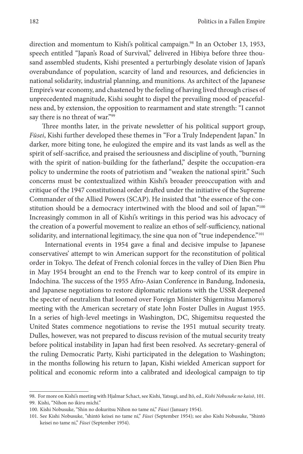direction and momentum to Kishi's political campaign.<sup>98</sup> In an October 13, 1953, speech entitled "Japan's Road of Survival," delivered in Hibiya before three thousand assembled students, Kishi presented a perturbingly desolate vision of Japan's overabundance of population, scarcity of land and resources, and deficiencies in national solidarity, industrial planning, and munitions. As architect of the Japanese Empire's war economy, and chastened by the feeling of having lived through crises of unprecedented magnitude, Kishi sought to dispel the prevailing mood of peacefulness and, by extension, the opposition to rearmament and state strength: "I cannot say there is no threat of war."99

Three months later, in the private newsletter of his political support group, *Fūsei*, Kishi further developed these themes in "For a Truly Independent Japan." In darker, more biting tone, he eulogized the empire and its vast lands as well as the spirit of self-sacrifice, and praised the seriousness and discipline of youth, "burning with the spirit of nation-building for the fatherland," despite the occupation-era policy to undermine the roots of patriotism and "weaken the national spirit." Such concerns must be contextualized within Kishi's broader preoccupation with and critique of the 1947 constitutional order drafted under the initiative of the Supreme Commander of the Allied Powers (SCAP). He insisted that "the essence of the constitution should be a democracy intertwined with the blood and soil of Japan."<sup>100</sup> Increasingly common in all of Kishi's writings in this period was his advocacy of the creation of a powerful movement to realize an ethos of self-sufficiency, national solidarity, and international legitimacy, the sine qua non of "true independence."<sup>101</sup>

 International events in 1954 gave a final and decisive impulse to Japanese conservatives' attempt to win American support for the reconstitution of political order in Tokyo. The defeat of French colonial forces in the valley of Dien Bien Phu in May 1954 brought an end to the French war to keep control of its empire in Indochina. The success of the 1955 Afro-Asian Conference in Bandung, Indonesia, and Japanese negotiations to restore diplomatic relations with the USSR deepened the specter of neutralism that loomed over Foreign Minister Shigemitsu Mamoru's meeting with the American secretary of state John Foster Dulles in August 1955. In a series of high-level meetings in Washington, DC, Shigemitsu requested the United States commence negotiations to revise the 1951 mutual security treaty. Dulles, however, was not prepared to discuss revision of the mutual security treaty before political instability in Japan had first been resolved. As secretary-general of the ruling Democratic Party, Kishi participated in the delegation to Washington; in the months following his return to Japan, Kishi wielded American support for political and economic reform into a calibrated and ideological campaign to tip

<sup>98.</sup> For more on Kishi's meeting with Hjalmar Schact, see Kishi, Yatsugi, and Itō, ed., *Kishi Nobusuke no kaisō*, 101. 99. Kishi, "Nihon no ikiru michi."

<sup>100.</sup> Kishi Nobusuke, "Shin no dokuritsu Nihon no tame ni," *Fūsei* (January 1954).

<sup>101.</sup> See Kishi Nobusuke, "shintō keisei no tame ni," *Fūsei* (September 1954); see also Kishi Nobusuke, "Shintō keisei no tame ni," *Fūsei* (September 1954).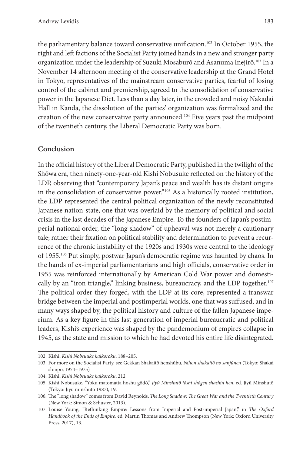the parliamentary balance toward conservative unification.<sup>102</sup> In October 1955, the right and left factions of the Socialist Party joined hands in a new and stronger party organization under the leadership of Suzuki Mosaburō and Asanuma Inejirō.103 In a November 14 afternoon meeting of the conservative leadership at the Grand Hotel in Tokyo, representatives of the mainstream conservative parties, fearful of losing control of the cabinet and premiership, agreed to the consolidation of conservative power in the Japanese Diet. Less than a day later, in the crowded and noisy Nakadai Hall in Kanda, the dissolution of the parties' organization was formalized and the creation of the new conservative party announced.<sup>104</sup> Five years past the midpoint of the twentieth century, the Liberal Democratic Party was born.

#### **Conclusion**

In the official history of the Liberal Democratic Party, published in the twilight of the Shōwa era, then ninety-one-year-old Kishi Nobusuke reflected on the history of the LDP, observing that "contemporary Japan's peace and wealth has its distant origins in the consolidation of conservative power."105 As a historically rooted institution, the LDP represented the central political organization of the newly reconstituted Japanese nation-state, one that was overlaid by the memory of political and social crisis in the last decades of the Japanese Empire. To the founders of Japan's postimperial national order, the "long shadow" of upheaval was not merely a cautionary tale; rather their fixation on political stability and determination to prevent a recurrence of the chronic instability of the 1920s and 1930s were central to the ideology of 1955.<sup>106</sup> Put simply, postwar Japan's democratic regime was haunted by chaos. In the hands of ex-imperial parliamentarians and high officials, conservative order in 1955 was reinforced internationally by American Cold War power and domestically by an "iron triangle," linking business, bureaucracy, and the LDP together.107 The political order they forged, with the LDP at its core, represented a transwar bridge between the imperial and postimperial worlds, one that was suffused, and in many ways shaped by, the political history and culture of the fallen Japanese imperium. As a key figure in this last generation of imperial bureaucratic and political leaders, Kishi's experience was shaped by the pandemonium of empire's collapse in 1945, as the state and mission to which he had devoted his entire life disintegrated.

<sup>102.</sup> Kishi, *Kishi Nobsuuke kaikoroku*, 188–205.

<sup>103.</sup> For more on the Socialist Party, see Gekkan Shakaitō henshūbu, *Nihon shakaitō no sanjūnen* (Tokyo: Shakai shinpō, 1974–1975)

<sup>104.</sup> Kishi, *Kishi Nobsuuke kaikoroku*, 212.

<sup>105.</sup> Kishi Nobusuke, "Yoku matomatta hoshu gōdō," *Jiyū Minshutō tōshi shōgen shashin hen*, ed. Jiyū Minshutō (Tokyo: Jiȳu minshutō 1987), 19.

<sup>106.</sup> The "long shadow" comes from David Reynolds, *The Long Shadow: The Great War and the Twentieth Century* (New York: Simon & Schuster, 2013).

<sup>107.</sup> Louise Young, "Rethinking Empire: Lessons from Imperial and Post-imperial Japan," in *The Oxford Handbook of the Ends of Empire*, ed. Martin Thomas and Andrew Thompson (New York: Oxford University Press, 2017), 13.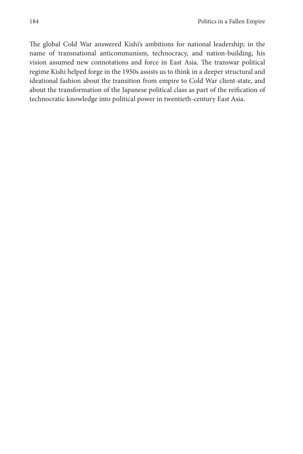The global Cold War answered Kishi's ambitions for national leadership; in the name of transnational anticommunism, technocracy, and nation-building, his vision assumed new connotations and force in East Asia. The transwar political regime Kishi helped forge in the 1950s assists us to think in a deeper structural and ideational fashion about the transition from empire to Cold War client-state, and about the transformation of the Japanese political class as part of the reification of technocratic knowledge into political power in twentieth-century East Asia.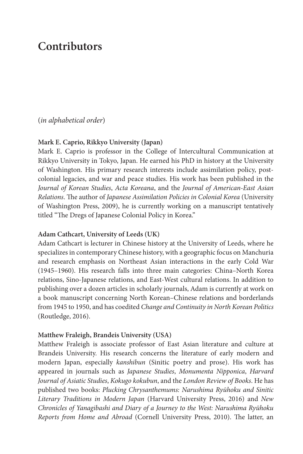### **Contributors**

(*in alphabetical order*)

#### **Mark E. Caprio, Rikkyo University (Japan)**

Mark E. Caprio is professor in the College of Intercultural Communication at Rikkyo University in Tokyo, Japan. He earned his PhD in history at the University of Washington. His primary research interests include assimilation policy, postcolonial legacies, and war and peace studies. His work has been published in the *Journal of Korean Studies*, *Acta Koreana*, and the *Journal of American-East Asian Relations*. The author of *Japanese Assimilation Policies in Colonial Korea* (University of Washington Press, 2009), he is currently working on a manuscript tentatively titled "The Dregs of Japanese Colonial Policy in Korea."

#### **Adam Cathcart, University of Leeds (UK)**

Adam Cathcart is lecturer in Chinese history at the University of Leeds, where he specializes in contemporary Chinese history, with a geographic focus on Manchuria and research emphasis on Northeast Asian interactions in the early Cold War (1945–1960). His research falls into three main categories: China–North Korea relations, Sino-Japanese relations, and East-West cultural relations. In addition to publishing over a dozen articles in scholarly journals, Adam is currently at work on a book manuscript concerning North Korean–Chinese relations and borderlands from 1945 to 1950, and has coedited *Change and Continuity in North Korean Politics* (Routledge, 2016).

#### **Matthew Fraleigh, Brandeis University (USA)**

Matthew Fraleigh is associate professor of East Asian literature and culture at Brandeis University. His research concerns the literature of early modern and modern Japan, especially *kanshibun* (Sinitic poetry and prose). His work has appeared in journals such as *Japanese Studies*, *Monumenta Nipponica*, *Harvard Journal of Asiatic Studies*, *Kokugo kokubun*, and the *London Review of Books*. He has published two books: *Plucking Chrysanthemums: Narushima Ryūhoku and Sinitic Literary Traditions in Modern Japan* (Harvard University Press, 2016) and *New Chronicles of Yanagibashi and Diary of a Journey to the West: Narushima Ryūhoku Reports from Home and Abroad* (Cornell University Press, 2010). The latter, an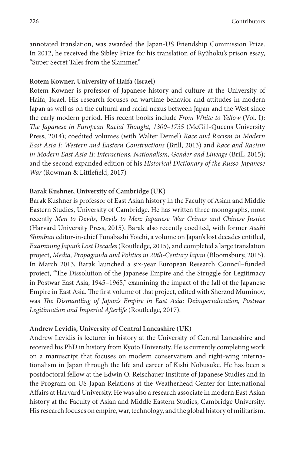annotated translation, was awarded the Japan-US Friendship Commission Prize. In 2012, he received the Sibley Prize for his translation of Ryūhoku's prison essay, "Super Secret Tales from the Slammer."

#### **Rotem Kowner, University of Haifa (Israel)**

Rotem Kowner is professor of Japanese history and culture at the University of Haifa, Israel. His research focuses on wartime behavior and attitudes in modern Japan as well as on the cultural and racial nexus between Japan and the West since the early modern period. His recent books include *From White to Yellow* (Vol. I): *The Japanese in European Racial Thought, 1300–1735* (McGill-Queens University Press, 2014); coedited volumes (with Walter Demel) *Race and Racism in Modern East Asia I: Western and Eastern Constructions* (Brill, 2013) and *Race and Racism in Modern East Asia II: Interactions, Nationalism, Gender and Lineage* (Brill, 2015); and the second expanded edition of his *Historical Dictionary of the Russo-Japanese War* (Rowman & Littlefield, 2017)

#### **Barak Kushner, University of Cambridge (UK)**

Barak Kushner is professor of East Asian history in the Faculty of Asian and Middle Eastern Studies, University of Cambridge. He has written three monographs, most recently *Men to Devils, Devils to Men: Japanese War Crimes and Chinese Justice* (Harvard University Press, 2015). Barak also recently coedited, with former *Asahi Shimbun* editor-in-chief Funabashi Yōichi, a volume on Japan's lost decades entitled, *Examining Japan's Lost Decades* (Routledge, 2015), and completed a large translation project, *Media, Propaganda and Politics in 20th-Century Japan* (Bloomsbury, 2015). In March 2013, Barak launched a six-year European Research Council–funded project, "The Dissolution of the Japanese Empire and the Struggle for Legitimacy in Postwar East Asia, 1945–1965," examining the impact of the fall of the Japanese Empire in East Asia. The first volume of that project, edited with Sherzod Muminov, was *The Dismantling of Japan's Empire in East Asia: Deimperialization, Postwar Legitimation and Imperial Afterlife* (Routledge, 2017).

#### **Andrew Levidis, University of Central Lancashire (UK)**

Andrew Levidis is lecturer in history at the University of Central Lancashire and received his PhD in history from Kyoto University. He is currently completing work on a manuscript that focuses on modern conservatism and right-wing internationalism in Japan through the life and career of Kishi Nobusuke. He has been a postdoctoral fellow at the Edwin O. Reischauer Institute of Japanese Studies and in the Program on US-Japan Relations at the Weatherhead Center for International Affairs at Harvard University. He was also a research associate in modern East Asian history at the Faculty of Asian and Middle Eastern Studies, Cambridge University. His research focuses on empire, war, technology, and the global history of militarism.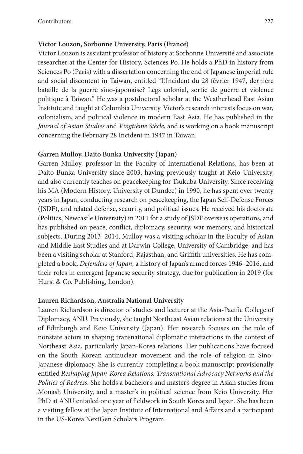#### **Victor Louzon, Sorbonne University, Paris (France)**

Victor Louzon is assistant professor of history at Sorbonne Université and associate researcher at the Center for History, Sciences Po. He holds a PhD in history from Sciences Po (Paris) with a dissertation concerning the end of Japanese imperial rule and social discontent in Taiwan, entitled "L'Incident du 28 février 1947, dernière bataille de la guerre sino-japonaise? Legs colonial, sortie de guerre et violence politique à Taiwan." He was a postdoctoral scholar at the Weatherhead East Asian Institute and taught at Columbia University. Victor's research interests focus on war, colonialism, and political violence in modern East Asia. He has published in the *Journal of Asian Studies* and *Vingtième Siècle*, and is working on a book manuscript concerning the February 28 Incident in 1947 in Taiwan.

#### **Garren Mulloy, Daito Bunka University (Japan)**

Garren Mulloy, professor in the Faculty of International Relations, has been at Daito Bunka University since 2003, having previously taught at Keio University, and also currently teaches on peacekeeping for Tsukuba University. Since receiving his MA (Modern History, University of Dundee) in 1990, he has spent over twenty years in Japan, conducting research on peacekeeping, the Japan Self-Defense Forces (JSDF), and related defense, security, and political issues. He received his doctorate (Politics, Newcastle University) in 2011 for a study of JSDF overseas operations, and has published on peace, conflict, diplomacy, security, war memory, and historical subjects. During 2013–2014, Mulloy was a visiting scholar in the Faculty of Asian and Middle East Studies and at Darwin College, University of Cambridge, and has been a visiting scholar at Stanford, Rajasthan, and Griffith universities. He has completed a book, *Defenders of Japan*, a history of Japan's armed forces 1946–2016, and their roles in emergent Japanese security strategy, due for publication in 2019 (for Hurst & Co. Publishing, London).

#### **Lauren Richardson, Australia National University**

Lauren Richardson is director of studies and lecturer at the Asia-Pacific College of Diplomacy, ANU. Previously, she taught Northeast Asian relations at the University of Edinburgh and Keio University (Japan). Her research focuses on the role of nonstate actors in shaping transnational diplomatic interactions in the context of Northeast Asia, particularly Japan-Korea relations. Her publications have focused on the South Korean antinuclear movement and the role of religion in Sino-Japanese diplomacy. She is currently completing a book manuscript provisionally entitled *Reshaping Japan-Korea Relations: Transnational Advocacy Networks and the Politics of Redress*. She holds a bachelor's and master's degree in Asian studies from Monash University, and a master's in political science from Keio University. Her PhD at ANU entailed one year of fieldwork in South Korea and Japan. She has been a visiting fellow at the Japan Institute of International and Affairs and a participant in the US-Korea NextGen Scholars Program.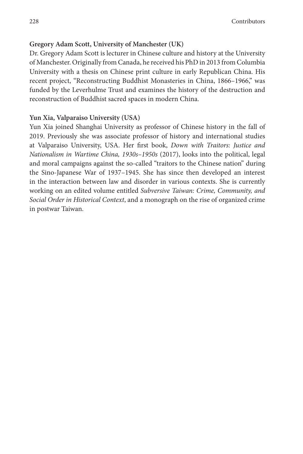#### **Gregory Adam Scott, University of Manchester (UK)**

Dr. Gregory Adam Scott is lecturer in Chinese culture and history at the University of Manchester. Originally from Canada, he received his PhD in 2013 from Columbia University with a thesis on Chinese print culture in early Republican China. His recent project, "Reconstructing Buddhist Monasteries in China, 1866–1966," was funded by the Leverhulme Trust and examines the history of the destruction and reconstruction of Buddhist sacred spaces in modern China.

#### **Yun Xia, Valparaiso University (USA)**

Yun Xia joined Shanghai University as professor of Chinese history in the fall of 2019. Previously she was associate professor of history and international studies at Valparaiso University, USA. Her first book, *Down with Traitors: Justice and Nationalism in Wartime China, 1930s–1950s* (2017), looks into the political, legal and moral campaigns against the so-called "traitors to the Chinese nation" during the Sino-Japanese War of 1937–1945. She has since then developed an interest in the interaction between law and disorder in various contexts. She is currently working on an edited volume entitled *Subversive Taiwan: Crime, Community, and Social Order in Historical Context*, and a monograph on the rise of organized crime in postwar Taiwan.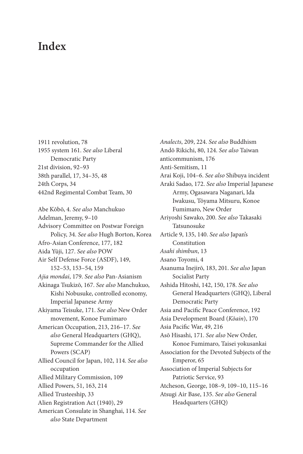### **Index**

1911 revolution, 78 1955 system 161. *See also* Liberal Democratic Party 21st division, 92–93 38th parallel, 17, 34–35, 48 24th Corps, 34 442nd Regimental Combat Team, 30

Abe Kōbō, 4. *See also* Manchukuo Adelman, Jeremy, 9–10 Advisory Committee on Postwar Foreign Policy, 34. *See also* Hugh Borton, Korea Afro-Asian Conference, 177, 182 Aida Yūji, 127. *See also* POW Air Self Defense Force (ASDF), 149, 152–53, 153–54, 159 *Ajia mondai*, 179. *See also* Pan-Asianism Akinaga Tsukizō, 167. *See also* Manchukuo, Kishi Nobusuke, controlled economy, Imperial Japanese Army Akiyama Teisuke, 171. *See also* New Order movement, Konoe Fumimaro American Occupation, 213, 216–17. *See also* General Headquarters (GHQ), Supreme Commander for the Allied Powers (SCAP) Allied Council for Japan, 102, 114. *See also* occupation Allied Military Commission, 109 Allied Powers, 51, 163, 214 Allied Trusteeship, 33 Alien Registration Act (1940), 29 American Consulate in Shanghai, 114. *See also* State Department

*Analects*, 209, 224. *See also* Buddhism Andō Rikichi, 80, 124. *See also* Taiwan anticommunism, 176 Anti-Semitism, 11 Arai Koji, 104–6. *See also* Shibuya incident Araki Sadao, 172. *See also* Imperial Japanese Army, Ogasawara Naganari, Ida Iwakusu, Tōyama Mitsuru, Konoe Fumimaro, New Order Ariyoshi Sawako, 200. *See also* Takasaki Tatsunosuke Article 9, 135, 140. *See also* Japan's Constitution *Asahi shimbun*, 13 Asano Toyomi, 4 Asanuma Inejirō, 183, 201. *See also* Japan Socialist Party Ashida Hitoshi, 142, 150, 178. *See also* General Headquarters (GHQ), Liberal Democratic Party Asia and Pacific Peace Conference, 192 Asia Development Board (*Kōain*), 170 Asia Pacific War, 49, 216 Asō Hisashi, 171. *See also* New Order, Konoe Fumimaro, Taisei yokusankai Association for the Devoted Subjects of the Emperor, 65 Association of Imperial Subjects for Patriotic Service, 93 Atcheson, George, 108–9, 109–10, 115–16 Atsugi Air Base, 135. *See also* General Headquarters (GHQ)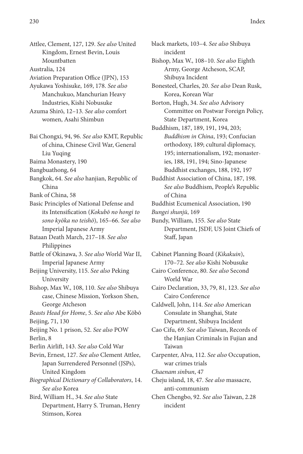Attlee, Clement, 127, 129. *See also* United Kingdom, Ernest Bevin, Louis Mountbatten

Australia, 124

- Aviation Preparation Office (JPN), 153
- Ayukawa Yoshisuke, 169, 178. *See also* Manchukuo, Manchurian Heavy Industries, Kishi Nobusuke
- Azuma Shirō, 12–13. *See also* comfort women, Asahi Shimbun
- Bai Chongxi, 94, 96. *See also* KMT, Republic of china, Chinese Civil War, General Liu Yuqing
- Baima Monastery, 190
- Bangbuathong, 64
- Bangkok, 64. *See also* hanjian, Republic of China
- Bank of China, 58
- Basic Principles of National Defense and its Intensification (*Kokubō no hongi to sono kyōka no teishō*), 165–66. *See also* Imperial Japanese Army
- Bataan Death March, 217–18. *See also* Philippines
- Battle of Okinawa, 3. *See also* World War II, Imperial Japanese Army
- Beijing University, 115. *See also* Peking University
- Bishop, Max W., 108, 110. *See also* Shibuya case, Chinese Mission, Yorkson Shen, George Atcheson
- *Beasts Head for Home*, 5. *See also* Abe Kōbō Beijing, 71, 130
- Beijing No. 1 prison, 52. *See also* POW Berlin, 8
- Berlin Airlift, 143. *See also* Cold War
- Bevin, Ernest, 127. *See also* Clement Attlee, Japan Surrendered Personnel (JSPs), United Kingdom
- *Biographical Dictionary of Collaborators*, 14. *See also* Korea
- Bird, William H., 34. *See also* State Department, Harry S. Truman, Henry Stimson, Korea

black markets, 103–4. *See also* Shibuya incident Bishop, Max W., 108–10. *See also* Eighth Army, George Atcheson, SCAP, Shibuya Incident Bonesteel, Charles, 20. *See also* Dean Rusk, Korea, Korean War Borton, Hugh, 34. *See also* Advisory Committee on Postwar Foreign Policy, State Department, Korea Buddhism, 187, 189, 191, 194, 203; *Buddhism in China*, 193; Confucian

- orthodoxy, 189; cultural diplomacy, 195; internationalism, 192; monasteries, 188, 191, 194; Sino-Japanese Buddhist exchanges, 188, 192, 197
- Buddhist Association of China, 187, 198. *See also* Buddhism, People's Republic of China
- Buddhist Ecumenical Association, 190 *Bungei shunjū*, 169
- Bundy, William, 155. *See also* State Department, JSDF, US Joint Chiefs of Staff, Japan

Cabinet Planning Board (*Kikakuin*), 170–72. *See also* Kishi Nobusuke Cairo Conference, 80. *See also* Second World War Cairo Declaration, 33, 79, 81, 123. *See also* Cairo Conference Caldwell, John, 114. *See also* American Consulate in Shanghai, State Department, Shibuya Incident Cao Cifu, 69. *See also* Taiwan, Records of the Hanjian Criminals in Fujian and Taiwan Carpenter, Alva, 112. *See also* Occupation, war crimes trials *Chaenam sinbun*, 47 Cheju island, 18, 47. *See also* massacre, anti-communism

Chen Chengbo, 92. *See also* Taiwan, 2.28 incident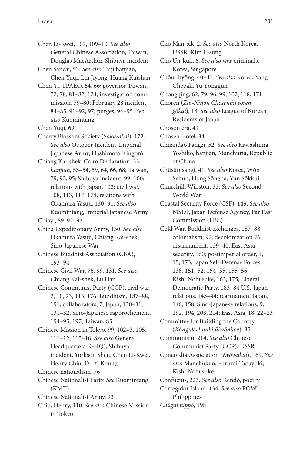Chen Li-Kwei, 107, 109–10. *See also* General Chinese Association, Taiwan, Douglas MacArthur. Shibuya incident

Chen Sancai, 53. *See also* Taiji hanjian, Chen Yuqi, Lin Jiyong, Huang Kuishan

Chen Yi, TPAEO, 64, 66; governor Taiwan, 72, 78, 81–82, 124; investigation commission, 79–80; February 28 incident, 84–85, 91–92, 97; purges, 94–95. *See also* Kuomintang

Chen Yuqi, 69

- Cherry Blossom Society (*Sakurakai*), 172. *See also* October Incident, Imperial Japanese Army, Hashimoto Kingorō
- Chiang Kai-shek, Cairo Declaration, 33; *hanjian*, 53–54, 59, 64, 66, 68; Taiwan, 79, 92, 95; Shibuya incident, 99–100; relations with Japan, 102; civil war, 108, 113, 117, 174; relations with Okamura Yasuji, 130–31. *See also* Kuomintang, Imperial Japanese Army

Chiayi, 89, 92–93

China Expeditionary Army, 130. *See also* Okamura Yasuji, Chiang Kai-shek, Sino-Japanese War

Chinese Buddhist Association (CBA), 193–94

Chinese Civil War, 76, 99, 131. *See also* Chiang Kai-shek, Lu Han

- Chinese Communist Party (CCP), civil war, 2, 10, 23, 113, 176; Buddhism, 187–88, 191; collaborators, 7; Japan, 130–31, 131–32; Sino-Japanese rapprochement, 194–95, 197; Taiwan, 85
- Chinese Mission in Tokyo, 99, 102–3, 105, 111–12, 115–16. *See also* General Headquarters (GHQ), Shibuya incident, Yorkson Shen, Chen Li-Kwei, Henry Chiu, Dr. Y. Koung

Chinese nationalism, 76

Chinese Nationalist Party. *See* Kuomintang (KMT)

- Chinese Nationalist Army, 93
- Chiu, Henry, 110. *See also* Chinese Mission in Tokyo

Cho Man-sik, 2. *See also* North Korea, USSR, Kim Il-sung Cho Un-kuk, 6. *See also* war criminals, Korea, Singapore Chǒn Ihyǒng, 40–41. *See also* Korea, Yang Chepak, Yu Yǒnggŭn Chongqing, 62, 79, 96, 99, 102, 118, 171 Chōren (*Zai-Nihon Chōsenjin sōren gōkai*), 13. *See also* League of Korean Residents of Japan Chosŏn era, 41 Chosen Hotel, 34 Chuandao Fangzi, 52. *See also* Kawashima Yoshiko, hanjian, Manchuria, Republic of China Chūsūinsangi, 41. *See also* Korea, Wǒn Sehun, Hong Sǒngha, Yun Sǒkkui Churchill, Winston, 33. *See also* Second World War Coastal Security Force (CSF), 149. *See also* MSDF, Japan Defense Agency, Far East Commission (FEC) Cold War, Buddhist exchanges, 187–88; colonialism, 97; decolonization 76; disarmament, 139–40; East Asia security, 160; postimperial order, 1, 15, 173; Japan Self-Defense Forces, 138, 151–52, 154–55, 155–56; Kishi Nobusuke, 163, 175; Liberal Democratic Party, 183–84 U.S.-Japan relations, 143–44; rearmament Japan, 146, 158; Sino-Japanese relations, 9, 192, 194, 203, 214; East Asia, 18, 22–23 Committee for Building the Country (*Kŏn'guk chunbi ŭiwŏnhoe*), 35

Communism, 214. *See also* Chinese Communist Party (CCP), USSR

Concordia Association (*Kyōwakai*), 169. *See also* Manchukuo, Furumi Tadayuki, Kishi Nobusuke

Confucius, 223. *See also* Kendō, poetry

Corregidor Island, 134. *See also* POW, Philippines *Chūgai nippō*, 198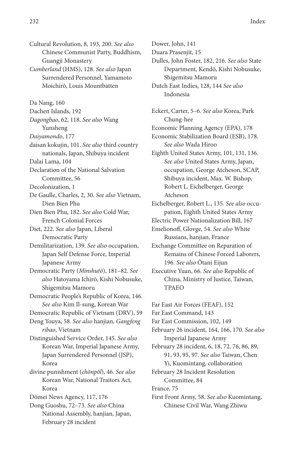Cultural Revolution, 8, 193, 200. *See also* Chinese Communist Party, Buddhism, Guangji Monastery

*Cumberland* (HMS), 128. *See also* Japan Surrendered Personnel, Yamamoto Moichirō, Louis Mountbatten

Da Nang, 160

Dachen Islands, 192

*Dagongbao*, 62, 118. *See also* Wang Yunsheng

*Daiyamondo*, 177

daisan kokujin, 101. *See also* third country nationals, Japan, Shibuya incident

Dalai Lama, 104

Declaration of the National Salvation Committee, 56

Decolonization, 1

De Gaulle, Charles, 2, 30. *See also* Vietnam, Dien Bien Phu

Dien Bien Phu, 182. *See also* Cold War, French Colonial Forces

Diet, 222. *See also* Japan, Liberal Democratic Party

Demilitarization, 139. *See also* occupation, Japan Self Defense Force, Imperial Japanese Army

Democratic Party (*Minshutō*), 181–82. *See also* Hatoyama Ichirō, Kishi Nobusuke, Shigemitsu Mamoru

Democratic People's Republic of Korea, 146. *See also* Kim Il-sung, Korean War

Democratic Republic of Vietnam (DRV), 59

Deng Youya, 58. *See also* hanjian, *Gangfeng ribao*, Vietnam

Distinguished Service Order, 145. *See also* Korean War, Imperial Japanese Army, Japan Surrendered Personnel (JSP), Korea

divine punishment (*chŏnpŏl*), 46. *See also* Korean War, National Traitors Act, Korea

Dōmei News Agency, 117, 176

Dong Guoshu, 72–73. *See also* China National Assembly, hanjian, Japan, February 28 incident

Dower, John, 141

Duara Prasenjit, 15

Dulles, John Foster, 182, 216. *See also* State Department, Kendō, Kishi Nobusuke, Shigemitsu Mamoru

Dutch East Indies, 128, 144 *See also* Indonesia

Eckert, Carter, 5–6. *See also* Korea, Park Chung-hee Economic Planning Agency (EPA), 178 Economic Stabilization Board (ESB), 178. *See also* Wada Hiroo

Eighth United States Army, 101, 131, 136. *See also* United States Army, Japan, occupation, George Atcheson, SCAP, Shibuya incident, Max. W. Bishop, Robert L. Eichelberger, George Atcheson

Eichelberger, Robert L., 135. *See also* occupation, Eighth United States Army

Electric Power Nationalization Bill, 167

Emelionoff, Glovge, 54. *See also* White Russians, hanjian, France

Exchange Committee on Reparation of Remains of Chinese Forced Laborers, 196. *See also* Ōtani Eijun

Executive Yuan, 66. *See also* Republic of China, Ministry of Justice, Taiwan, TPAEO

Far East Air Forces (FEAF), 152

Far East Command, 143

Far East Commission, 102, 149

February 26 incident, 164, 166, 170. *See also* Imperial Japanese Army

February 28 incident, 6, 18, 72, 76, 86, 89, 91, 93, 95, 97. *See also* Taiwan, Chen Yi, Kuomintang, collaboration

February 28 Incident Resolution Committee, 84

France, 75

First Front Army, 58. *See also* Kuomintang, Chinese Civil War, Wang Zhiwu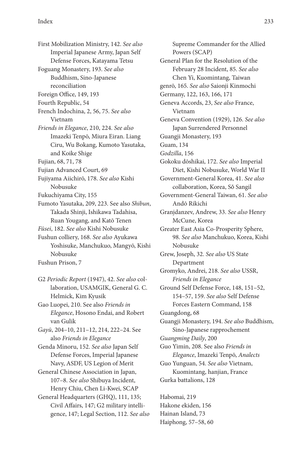First Mobilization Ministry, 142. *See also* Imperial Japanese Army, Japan Self Defense Forces, Katayama Tetsu Foguang Monastery, 193. *See also* Buddhism, Sino-Japanese

- reconciliation
- Foreign Office, 149, 193
- Fourth Republic, 54
- French Indochina, 2, 56, 75. *See also* Vietnam
- *Friends in Elegance*, 210, 224. *See also* Imazeki Tenpō, Miura Eiran. Liang Ciru, Wu Bokang, Kumoto Yasutaka, and Koike Shige
- Fujian, 68, 71, 78
- Fujian Advanced Court, 69
- Fujiyama Aiichirō, 178. *See also* Kishi Nobusuke
- Fukuchiyama City, 155
- Fumoto Yasutaka, 209, 223. See also *Shibun*, Takada Shinji, Ishikawa Tadahisa, Ruan Yougang, and Katō Tenen
- *Fūsei*, 182. *See also* Kishi Nobusuke
- Fushun colliery, 168. *See also* Ayukawa Yoshisuke, Manchukuo, Mangyō, Kishi Nobusuke

Fushun Prison, 7

G2 *Periodic Report* (1947), 42. *See also* collaboration, USAMGIK, General G. C. Helmick, Kim Kyusik

Gao Luopei, 210. See also *Friends in Elegance*, Hosono Endai, and Robert van Gulik

- *Gayū*, 204–10, 211–12, 214, 222–24. See also *Friends in Elegance*
- Genda Minoru, 152. *See also* Japan Self Defense Forces, Imperial Japanese Navy, ASDF, US Legion of Merit
- General Chinese Association in Japan, 107–8. *See also* Shibuya Incident, Henry Chiu, Chen Li-Kwei, SCAP

General Headquarters (GHQ), 111, 135; Civil Affairs, 147; G2 military intelligence, 147; Legal Section, 112. *See also*

Supreme Commander for the Allied Powers (SCAP) General Plan for the Resolution of the February 28 Incident, 85. *See also* Chen Yi, Kuomintang, Taiwan genrō, 165. *See also* Saionji Kinmochi Germany, 122, 163, 166, 171 Geneva Accords, 23, *See also* France, Vietnam Geneva Convention (1929), 126. *See also* Japan Surrendered Personnel Guangji Monastery, 193 Guam, 134 *Godzilla*, 156 Gokoku dōshikai, 172. *See also* Imperial Diet, Kishi Nobusuke, World War II Government-General Korea, 41. *See also* collaboration, Korea, Sǒ Sangil Government-General Taiwan, 61. *See also* Andō Rikichi Granjdanzev, Andrew, 33. *See also* Henry McCune, Korea Greater East Asia Co-Prosperity Sphere, 98. *See also* Manchukuo, Korea, Kishi Nobusuke Grew, Joseph, 32. *See also* US State Department Gromyko, Andrei, 218. *See also* USSR, *Friends in Elegance* Ground Self Defense Force, 148, 151–52, 154–57, 159. *See also* Self Defense Forces Eastern Command, 158 Guangdong, 68 Guangji Monastery, 194. *See also* Buddhism, Sino-Japanese rapprochement *Guangming Daily*, 200 Guo Yimin, 208. See also *Friends in Elegance*, Imazeki Tenpō, *Analects* Guo Yunguan, 54. *See also* Vietnam, Kuomintang, hanjian, France Gurka battalions, 128

Habomai, 219 Hakone ekiden, 156 Hainan Island, 73 Haiphong, 57–58, 60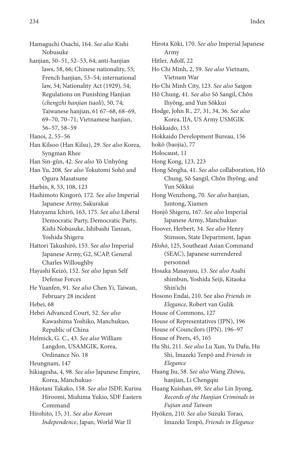Hamaguchi Osachi, 164. *See also* Kishi Nobusuke hanjian, 50–51, 52–53, 64; anti-hanjian laws, 58, 66; Chinese nationality, 55; French hanjian, 53–54; international law, 54; Nationality Act (1929), 54; Regulations on Punishing Hanjian (*chengzhi hanjian tiaoli*), 50, 74; Taiwanese hanjian, 61 67–68, 68–69, 69–70, 70–71; Vietnamese hanjian, 56–57, 58–59 Hanoi, 2, 55–56 Han Kilsoo (Han Kilsu), 29. *See also* Korea, Syngman Rhee Han Sin-gŭn, 42. *See also* Yŏ Unhyŏng Han Yu, 208. *See also* Tokutomi Sohō and Ogura Masatsune Harbin, 8, 53, 108, 123 Hashimoto Kingorō, 172. *See also* Imperial Japanese Army, Sakurakai Hatoyama Ichirō, 163, 175. *See also* Liberal Democratic Party, Democratic Party, Kishi Nobusuke, Ishibashi Tanzan, Yoshida Shigeru Hattori Takushirō, 153. *See also* Imperial Japanese Army, G2, SCAP, General Charles Willoughby Hayashi Keizō, 152. *See also* Japan Self Defense Forces He Yuanfen, 91. *See also* Chen Yi, Taiwan, February 28 incident Hebei, 68 Hebei Advanced Court, 52. *See also* Kawashima Yoshiko, Manchukuo, Republic of China Helmick, G. C., 43. *See also* William Langdon, USAMGIK, Korea, Ordinance No. 18 Heungnam, 147 hikiagesha, 4, 98. *See also* Japanese Empire, Korea, Manchukuo Hikotani Takako, 158. *See also* JSDF, Kurisu Hiroomi, Mishima Yukio, SDF Eastern Command Hirohito, 15, 31. *See also Korean*

*Independence*, Japan, World War II

Hirota Kōki, 170. *See also* Imperial Japanese Army Hitler, Adolf, 22 Ho Chi Minh, 2, 59. *See also* Vietnam, Vietnam War Ho Chi Minh City, 123. *See also* Saigon Hǒ Chung, 41. *See also* Sǒ Sangil, Chǒn Ihyǒng, and Yun Sǒkkui Hodge, John R., 27, 31, 34, 36. *See also* Korea, IJA, US Army USMGIK Hokkaido, 153 Hokkaido Development Bureau, 156 hokō (baojia), 77 Holocaust, 11 Hong Kong, 123, 223 Hong Sǒngha, 41. *See also* collaboration, Hǒ Chung, Sǒ Sangil, Chǒn Ihyǒng, and Yun Sǒkkui Hong Wenzhong, 70. *See also* hanjian, Juntong, Xiamen Honjō Shigeru, 167. *See also* Imperial Japanese Army, Manchukuo Hoover, Herbert, 34. *See also* Henry Stimson, State Department, Japan *Hōshō*, 125, Southeast Asian Command (SEAC), Japanese surrendered personnel Hosaka Masayasu, 13. *See also* Asahi shimbun, Yoshida Seiji, Kitaoka Shin'ichi Hosono Endai, 210. See also *Friends in Elegance*, Robert van Gulik House of Commons, 127 House of Representatives (JPN), 196 House of Councilors (JPN), 196–97 House of Peers, 45, 165 Hu Shi, 211. *See also* Lu Xun, Yu Dafu, Hu Shi, Imazeki Tenpō and *Friends in Elegance* Huang Jiu, 58. *See also* Wang Zhiwu, hanjian, Li Chengqiu Huang Kuishan, 69. *See also* Lin Jiyong, *Records of the Hanjian Criminals in Fujian and Taiwan* Hyōken, 210. *See also* Suzuki Torao, Imazeki Tenpō, *Friends in Elegance*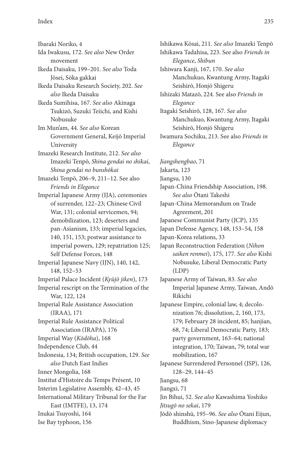Ibaraki Noriko, 4 Ida Iwakusu, 172. *See also* New Order movement Ikeda Daisaku, 199–201. *See also* Toda Jōsei, Sōka gakkai Ikeda Daisaku Research Society, 202. *See also* Ikeda Daisaku Ikeda Sumihisa, 167. *See also* Akinaga Tsukizō, Suzuki Teiichi, and Kishi Nobusuke Im Mun'am, 44. *See also* Korean Government General, Keijō Imperial University Imazeki Research Institute, 212. *See also* Imazeki Tenpō, *Shina gendai no shikai*, *Shina gendai no bunshōkai* Imazeki Tenpō, 206–9, 211–12. See also *Friends in Elegance* Imperial Japanese Army (IJA), ceremonies of surrender, 122–23; Chinese Civil War, 131; colonial servicemen, 94; demobilization, 123; deserters and pan-Asianism, 133; imperial legacies, 140, 151, 153; postwar assistance to imperial powers, 129; repatriation 125; Self Defense Forces, 148 Imperial Japanese Navy (IJN), 140, 142, 148, 152–53 Imperial Palace Incident (*Kyūjō jiken*), 173 Imperial rescript on the Termination of the War, 122, 124 Imperial Rule Assistance Association (IRAA), 171 Imperial Rule Assistance Political Association (IRAPA), 176 Imperial Way (*Kōdōha*), 168 Independence Club, 44 Indonesia, 134; British occupation, 129. *See also* Dutch East Indies Inner Mongolia, 168 Institut d'Histoire du Temps Présent, 10 Interim Legislative Assembly, 42–43, 45 International Military Tribunal for the Far East (IMTFE), 13, 174 Inukai Tsuyoshi, 164 Ise Bay typhoon, 156

Ishikawa Kōsai, 211. *See also* Imazeki Tenpō Ishikawa Tadahisa, 223. See also *Friends in Elegance*, *Shibun* Ishiwara Kanji, 167, 170. *See also* Manchukuo, Kwantung Army, Itagaki Seishirō, Honjō Shigeru Ishizaki Matazō, 224. See also *Friends in Elegance* Itagaki Seishirō, 128, 167. *See also* Manchukuo, Kwantung Army, Itagaki Seishirō, Honjō Shigeru Iwamura Sochiku, 213. See also *Friends in Elegance Jiangshengbao*, 71 Jakarta, 123 Jiangsu, 130 Japan-China Friendship Association, 198. *See also* Ōtani Takeshi Japan-China Memorandum on Trade

Agreement, 201

Japanese Communist Party (JCP), 135

Japan Defense Agency, 148, 153–54, 158

Japan-Korea relations, 33

- Japan Reconstruction Federation (*Nihon saiken renmei*), 175, 177. *See also* Kishi Nobusuke, Liberal Democratic Party (LDP)
- Japanese Army of Taiwan, 83. *See also* Imperial Japanese Army, Taiwan, Andō Rikichi
- Japanese Empire, colonial law, 4; decolonization 76; dissolution, 2, 160, 173, 179; February 28 incident, 85; hanjian, 68, 74; Liberal Democratic Party, 183; party government, 163–64; national integration, 170; Taiwan, 79; total war mobilization, 167

Japanese Surrendered Personnel (JSP), 126, 128–29, 144–45

Jiangsu, 68

Jiangxi, 71

Jin Bihui, 52. *See also* Kawashima Yoshiko *Jitsugō no sekai*, 179

Jōdō shinshū, 195–96. *See also* Ōtani Eijun, Buddhism, Sino-Japanese diplomacy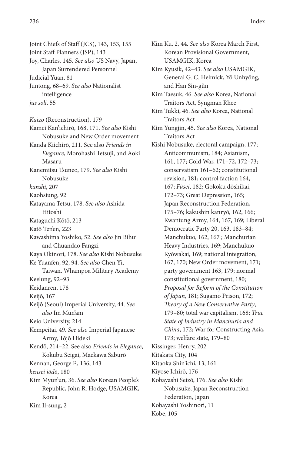Joint Chiefs of Staff (JCS), 143, 153, 155 Joint Staff Planners (JSP), 143

Joy, Charles, 145. *See also* US Navy, Japan, Japan Surrendered Personnel

Judicial Yuan, 81

Juntong, 68–69. *See also* Nationalist intelligence

*jus soli*, 55

*Kaizō* (Reconstruction), 179

Kamei Kan'ichirō, 168, 171. *See also* Kishi Nobusuke and New Order movement

Kanda Kiichirō, 211. See also *Friends in Elegance*, Morohashi Tetsuji, and Aoki Masaru

Kanemitsu Tsuneo, 179. *See also* Kishi Nobusuke

*kanshi*, 207

Kaohsiung, 92

Katayama Tetsu, 178. *See also* Ashida Hitoshi

Kataguchi Kōtō, 213

Katō Ten'en, 223

Kawashima Yoshiko, 52. *See also* Jin Bihui and Chuandao Fangzi

Kaya Okinori, 178. *See also* Kishi Nobusuke

Ke Yuanfen, 92, 94. *See also* Chen Yi,

Taiwan, Whampoa Military Academy Keelung, 92–93

Keidanren, 178

Keijō, 167

Keijō (Seoul) Imperial University, 44. *See also* Im Mun'am

Keio University, 214

Kempeitai, 49. *See also* Imperial Japanese Army, Tōjō Hideki

Kendō, 214–22. See also *Friends in Elegance*, Kokubu Seigai, Maekawa Saburō

Kennan, George F., 136, 143

*kensei jōdō*, 180

Kim Myun'un, 36. *See also* Korean People's Republic, John R. Hodge, USAMGIK, Korea

Kim Il-sung, 2

Kim Ku, 2, 44. *See also* Korea March First, Korean Provisional Government, USAMGIK, Korea

Kim Kyusik, 42–43. *See also* USAMGIK, General G. C. Helmick, Yŏ Unhyŏng, and Han Sin-gŭn

Kim Taesuk, 46. *See also* Korea, National Traitors Act, Syngman Rhee

Kim Tukki, 46. *See also* Korea, National Traitors Act

Kim Yungjin, 45. *See also* Korea, National Traitors Act

Kishi Nobusuke, electoral campaign, 177; Anticommunism, 184; Asianism, 161, 177; Cold War, 171–72, 172–73; conservatism 161–62; constitutional revision, 181; control faction 164, 167; *Fūsei*, 182; Gokoku dōshikai, 172–73; Great Depression, 165; Japan Reconstruction Federation, 175–76; kakushin kanryō, 162, 166; Kwantung Army, 164, 167, 169; Liberal Democratic Party 20, 163, 183–84; Manchukuo, 162, 167 ; Manchurian Heavy Industries, 169; Manchukuo Kyōwakai, 169; national integration, 167, 170; New Order movement, 171; party government 163, 179; normal constitutional government, 180; *Proposal for Reform of the Constitution of Japan*, 181; Sugamo Prison, 172; *Theory of a New Conservative Party*, 179–80; total war capitalism, 168; *True State of Industry in Manchuria and China*, 172; War for Constructing Asia, 173; welfare state, 179–80 Kissinger, Henry, 202

Kitakata City, 104

Kitaoka Shin'ichi, 13, 161

Kiyose Ichirō, 176

Kobayashi Seizō, 176. *See also* Kishi Nobusuke, Japan Reconstruction Federation, Japan Kobayashi Yoshinori, 11 Kobe, 105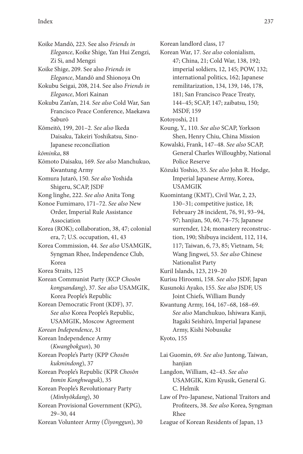Koike Mandō, 223. See also *Friends in Elegance*, Koike Shige, Yan Hui Zengzi, Zi Si, and Mengzi

Koike Shige, 209. See also *Friends in Elegance*, Mandō and Shionoya On

Kokubu Seigai, 208, 214. See also *Friends in Elegance*, Mori Kainan

Kokubu Zan'an, 214. *See also* Cold War, San Francisco Peace Conference, Maekawa Saburō

Kōmeitō, 199, 201–2. *See also* Ikeda Daisaku, Takeiri Yoshikatsu, Sino-Japanese reconciliation

*kōminka*, 88

Kōmoto Daisaku, 169. *See also* Manchukuo, Kwantung Army

Komura Jutarō, 150. *See also* Yoshida Shigeru, SCAP, JSDF

Kong linghe, 222. *See also* Anita Tong

Konoe Fumimaro, 171–72. *See also* New Order, Imperial Rule Assistance Association

Korea (ROK); collaboration, 38, 47; colonial era, 7; U.S. occupation, 41, 43

Korea Commission, 44. *See also* USAMGIK, Syngman Rhee, Independence Club, Korea

Korea Straits, 125

Korean Communist Party (KCP *Chosŏn kongsandang*), 37. *See also* USAMGIK, Korea People's Republic

Korean Democratic Front (KDF), 37. *See also* Korea People's Republic, USAMGIK, Moscow Agreement

*Korean Independence*, 31

Korean Independence Army (*Kwangbokgun*), 30

Korean People's Party (KPP *Chosŏn kukmindong*), 37

Korean People's Republic (KPR *Chosŏn Inmin Konghwaguk*), 35

Korean People's Revolutionary Party (*Minhyŏkdang*), 30

Korean Provisional Government (KPG), 29–30, 44

Korean Volunteer Army (*Ŭiyonggun*), 30

Korean landlord class, 17

Korean War, 17. *See also* colonialism, 47; China, 21; Cold War, 138, 192; imperial soldiers, 12, 145; POW, 132; international politics, 162; Japanese remilitarization, 134, 139, 146, 178, 181; San Francisco Peace Treaty, 144–45; SCAP, 147; zaibatsu, 150; MSDF, 159

- Kotoyoshi, 211
- Koung, Y., 110. *See also* SCAP, Yorkson Shen, Henry Chiu, China Mission

Kowalski, Frank, 147–48. *See also* SCAP, General Charles Willoughby, National Police Reserve

Kōzuki Yoshio, 35. *See also* John R. Hodge, Imperial Japanese Army, Korea, USAMGIK

Kuomintang (KMT), Civil War, 2, 23, 130–31; competitive justice, 18; February 28 incident, 76, 91, 93–94, 97; hanjian, 50, 60, 74–75; Japanese surrender, 124; monastery reconstruction, 190; Shibuya incident, 112, 114, 117; Taiwan, 6, 73, 85; Vietnam, 54; Wang Jingwei, 53. *See also* Chinese Nationalist Party

Kuril Islands, 123, 219–20

Kurisu Hiroomi, 158. *See also* JSDF, Japan

Kusunoki Ayako, 155. *See also* JSDF, US Joint Chiefs, William Bundy

Kwantung Army, 164, 167–68, 168–69. *See also* Manchukuo, Ishiwara Kanji, Itagaki Seishirō, Imperial Japanese Army, Kishi Nobusuke Kyoto, 155

Lai Guomin, 69. *See also* Juntong, Taiwan, hanjian Langdon, William, 42–43. *See also* USAMGIK, Kim Kyusik, General G. C. Helmik Law of Pro-Japanese, National Traitors and Profiteers, 38. *See also* Korea, Syngman Rhee

League of Korean Residents of Japan, 13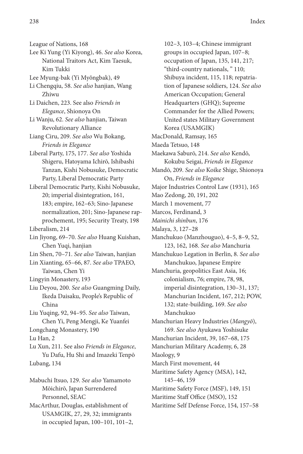League of Nations, 168

- Lee Ki Yung (Yi Kiyong), 46. *See also* Korea, National Traitors Act, Kim Taesuk, Kim Tukki
- Lee Myung-bak (Yi Myŏngbak), 49
- Li Chengqiu, 58. *See also* hanjian, Wang Zhiwu
- Li Daichen, 223. See also *Friends in Elegance*, Shionoya On
- Li Wanju, 62. *See also* hanjian, Taiwan Revolutionary Alliance
- Liang Ciru, 209. *See also* Wu Bokang, *Friends in Elegance*
- Liberal Party, 175, 177. *See also* Yoshida Shigeru, Hatoyama Ichirō, Ishibashi Tanzan, Kishi Nobusuke, Democratic Party, Liberal Democratic Party
- Liberal Democratic Party, Kishi Nobusuke, 20; imperial disintegration, 161, 183; empire, 162–63; Sino-Japanese normalization, 201; Sino-Japanese rapprochement, 195; Security Treaty, 198

Liberalism, 214

- Lin Jiyong, 69–70. *See also* Huang Kuishan, Chen Yuqi, hanjian
- Lin Shen, 70–71. *See also* Taiwan, hanjian
- Lin Xianting, 65–66, 87. *See also* TPAEO, Taiwan, Chen Yi
- Lingyin Monastery, 193
- Liu Deyou, 200. *See also* Guangming Daily, Ikeda Daisaku, People's Republic of China
- Liu Yuqing, 92, 94–95. *See also* Taiwan, Chen Yi, Peng Mengji, Ke Yuanfei
- Longchang Monastery, 190
- Lu Han, 2

Lu Xun, 211. See also *Friends in Elegance*, Yu Dafu, Hu Shi and Imazeki Tenpō Lubang, 134

Mabuchi Itsuo, 129. *See also* Yamamoto Mōichirō, Japan Surrendered Personnel, SEAC

MacArthur, Douglas, establishment of USAMGIK, 27, 29, 32; immigrants in occupied Japan, 100–101, 101–2,

102–3, 103–4; Chinese immigrant groups in occupied Japan, 107–8; occupation of Japan, 135, 141, 217; "third-country nationals, " 110; Shibuya incident, 115, 118; repatriation of Japanese soldiers, 124. *See also* American Occupation; General Headquarters (GHQ); Supreme Commander for the Allied Powers; United states Military Government Korea (USAMGIK) MacDonald, Ramsay, 165 Maeda Tetsuo, 148 Maekawa Saburō, 214. *See also* Kendō, Kokubu Seigai, *Friends in Elegance* Mandō, 209. *See also* Koike Shige, Shionoya On, *Friends in Elegance* Major Industries Control Law (1931), 165 Mao Zedong, 20, 191, 202 March 1 movement, 77 Marcos, Ferdinand, 3 *Mainichi shinbun*, 176 Malaya, 3, 127–28 Manchukuo (Manzhouguo), 4–5, 8–9, 52, 123, 162, 168. *See also* Manchuria Manchukuo Legation in Berlin, 8. *See also* Manchukuo, Japanese Empire Manchuria, geopolitics East Asia, 16; colonialism, 76; empire, 78, 98, imperial disintegration, 130–31, 137; Manchurian Incident, 167, 212; POW, 132; state-building, 169. *See also* Manchukuo Manchurian Heavy Industries (*Mangyō*), 169. *See also* Ayukawa Yoshisuke Manchurian Incident, 39, 167–68, 175 Manchurian Military Academy, 6, 28 Maology, 9 March First movement, 44 Maritime Safety Agency (MSA), 142, 145–46, 159 Maritime Safety Force (MSF), 149, 151 Maritime Staff Office (MSO), 152 Maritime Self Defense Force, 154, 157–58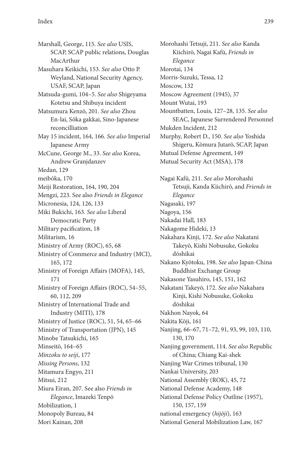Marshall, George, 115. *See also* USIS, SCAP, SCAP public relations, Douglas MacArthur Masuhara Keikichi, 153. *See also* Otto P. Weyland, National Security Agency, USAF, SCAP, Japan Matsuda-gumi, 104–5. *See also* Shigeyama Kotetsu and Shibuya incident Matsumura Kenzō, 201. *See also* Zhou En-lai, Sōka gakkai, Sino-Japanese reconcilliation May 15 incident, 164, 166. *See also* Imperial Japanese Army McCune, George M., 33. *See also* Korea, Andrew Granjdanzev Medan, 129 meibōka, 170 Meiji Restoration, 164, 190, 204 Mengzi, 223. See also *Friends in Elegance* Micronesia, 124, 126, 133 Miki Bukichi, 163. *See also* Liberal Democratic Party Military pacification, 18 Militarism, 16 Ministry of Army (ROC), 65, 68 Ministry of Commerce and Industry (MCI), 165, 172 Ministry of Foreign Affairs (MOFA), 145, 171 Ministry of Foreign Affairs (ROC), 54–55, 60, 112, 209 Ministry of International Trade and Industry (MITI), 178 Ministry of Justice (ROC), 51, 54, 65–66 Ministry of Transportation (JPN), 145 Minobe Tatsukichi, 165 Minseitō, 164–65 *Minzoku to seiji*, 177 *Missing Persons*, 132 Mitamura Engyo, 211 Mitsui, 212 Miura Eiran, 207. See also *Friends in Elegance*, Imazeki Tenpō Mobilization, 1 Monopoly Bureau, 84 Mori Kainan, 208

Morohashi Tetsuji, 211. *See also* Kanda Kiichirō, Nagai Kafū, *Friends in Elegance* Morotai, 134 Morris-Suzuki, Tessa, 12 Moscow, 132 Moscow Agreement (1945), 37 Mount Wutai, 193 Mountbatten, Louis, 127–28, 135. *See also* SEAC, Japanese Surrendered Personnel Mukden Incident, 212 Murphy, Robert D., 150. *See also* Yoshida Shigeru, Kōmura Jutarō, SCAP, Japan Mutual Defense Agreement, 149 Mutual Security Act (MSA), 178 Nagai Kafū, 211. *See also* Morohashi Tetsuji, Kanda Kiichirō, and *Friends in Elegance* Nagasaki, 197 Nagoya, 156 Nakadai Hall, 183 Nakagome Hideki, 13 Nakahara Kinji, 172. *See also* Nakatani Takeyō, Kishi Nobusuke, Gokoku dōshikai Nakano Kyōtoku, 198. *See also* Japan-China Buddhist Exchange Group Nakasone Yasuhiro, 145, 151, 162 Nakatani Takeyō, 172. *See also* Nakahara Kinji, Kishi Nobusuke, Gokoku dōshikai Nakhon Nayok, 64 Nakita Kōji, 161 Nanjing, 66–67, 71–72, 91, 93, 99, 103, 110, 130, 170 Nanjing government, 114. *See also* Republic of China; Chiang Kai-shek Nanjing War Crimes tribunal, 130 Nankai University, 203 National Assembly (ROK), 45, 72 National Defense Academy, 148 National Defense Policy Outline (1957), 150, 157, 159 national emergency (*hijōji*), 163 National General Mobilization Law, 167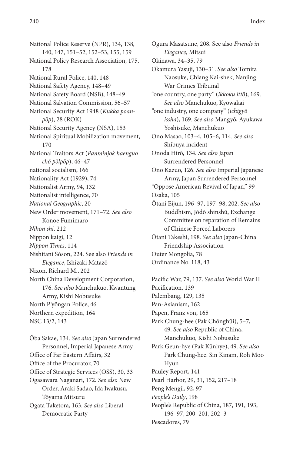National Police Reserve (NPR), 134, 138, 140, 147, 151–52, 152–53, 155, 159 National Policy Research Association, 175, 178 National Rural Police, 140, 148 National Safety Agency, 148–49 National Safety Board (NSB), 148–49 National Salvation Commission, 56–57 National Security Act 1948 (*Kukka poanpŏp*), 28 (ROK) National Security Agency (NSA), 153 National Spiritual Mobilization movement, 170 National Traitors Act (*Panminjok haenguo chŏ pŏlpŏp*), 46–47 national socialism, 166 Nationality Act (1929), 74 Nationalist Army, 94, 132 Nationalist intelligence, 70 *National Geographic*, 20 New Order movement, 171–72. *See also* Konoe Fumimaro *Nihon shi*, 212 Nippon kaigi, 12 *Nippon Times*, 114 Nishitani Sōson, 224. See also *Friends in Elegance*, Ishizaki Matazō Nixon, Richard M., 202 North China Development Corporation, 176. *See also* Manchukuo, Kwantung Army, Kishi Nobusuke North P'yŏngan Police, 46 Northern expedition, 164 NSC 13/2, 143

Ōba Sakae, 134. *See also* Japan Surrendered Personnel, Imperial Japanese Army Office of Far Eastern Affairs, 32 Office of the Procurator, 70 Office of Strategic Services (OSS), 30, 33 Ogasawara Naganari, 172. *See also* New Order, Araki Sadao, Ida Iwakusu, Tōyama Mitsuru Ogata Taketora, 163. *See also* Liberal Democratic Party

Ogura Masatsune, 208. See also *Friends in Elegance*, Mitsui Okinawa, 34–35, 79 Okamura Yasuji, 130–31. *See also* Tomita Naosuke, Chiang Kai-shek, Nanjing War Crimes Tribunal "one country, one party" (*ikkoku ittō*), 169. *See also* Manchukuo, Kyōwakai

"one industry, one company" (*ichigyō issha*), 169. *See also* Mangyō, Ayukawa Yoshisuke, Manchukuo

Ono Masao, 103–4, 105–6, 114. *See also* Shibuya incident

Onoda Hirō, 134. *See also* Japan Surrendered Personnel

- Ōno Kazuo, 126. *See also* Imperial Japanese Army, Japan Surrendered Personnel
- "Oppose American Revival of Japan," 99 Osaka, 105
- Ōtani Eijun, 196–97, 197–98, 202. *See also* Buddhism, Jōdō shinshū, Exchange
	- Committee on reparation of Remains of Chinese Forced Laborers
- Ōtani Takeshi, 198. *See also* Japan-China Friendship Association Outer Mongolia, 78
- Ordinance No. 118, 43

Pacific War, 79, 137. *See also* World War II Pacification, 139 Palembang, 129, 135 Pan-Asianism, 162 Papen, Franz von, 165 Park Chung-hee (Pak Chŏnghŭi), 5–7, 49. *See also* Republic of China, Manchukuo, Kishi Nobusuke Park Geun-hye (Pak Kŭnhye), 49. *See also* Park Chung-hee. Sin Kinam, Roh Moo Hyun Pauley Report, 141 Pearl Harbor, 29, 31, 152, 217–18 Peng Mengji, 92, 97 *People's Daily*, 198 People's Republic of China, 187, 191, 193, 196–97, 200–201, 202–3

Pescadores, 79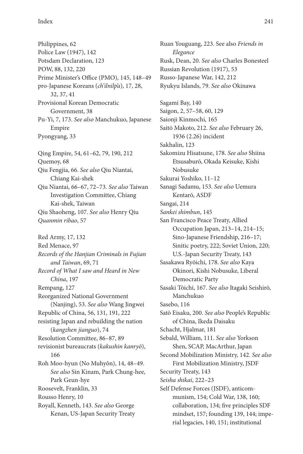Philippines, 62 Police Law (1947), 142 Potsdam Declaration, 123 POW, 88, 132, 220 Prime Minister's Office (PMO), 145, 148–49 pro-Japanese Koreans (*ch'ilnilp'a*), 17, 28, 32, 37, 41 Provisional Korean Democratic Government, 38 Pu-Yi, 7, 173. *See also* Manchukuo, Japanese Empire Pyongyang, 33 Qing Empire, 54, 61–62, 79, 190, 212 Quemoy, 68 Qiu Fengjia, 66. *See also* Qiu Niantai, Chiang Kai-shek Qiu Niantai, 66–67, 72–73. *See also* Taiwan Investigation Committee, Chiang Kai-shek, Taiwan Qiu Shaoheng, 107. *See also* Henry Qiu *Quanmin ribao*, 57 Red Army, 17, 132

Red Menace, 97 *Records of the Hanjian Criminals in Fujian and Taiwan*, 69, 71 *Record of What I saw and Heard in New China*, 197 Rempang, 127 Reorganized National Government (Nanjing), 53. *See also* Wang Jingwei Republic of China, 56, 131, 191, 222 resisting Japan and rebuilding the nation (*kangzhen jianguo*), 74 Resolution Committee, 86–87, 89 revisionist bureaucrats (*kakushin kanryō*), 166 Roh Moo-hyun (No Muhyŏn), 14, 48–49. *See also* Sin Kinam, Park Chung-hee, Park Geun-hye Roosevelt, Franklin, 33 Rousso Henry, 10 Royall, Kenneth, 143. *See also* George Kenan, US-Japan Security Treaty

Ruan Youguang, 223. See also *Friends in Elegance* Rusk, Dean, 20. *See also* Charles Bonesteel Russian Revolution (1917), 53 Russo-Japanese War, 142, 212 Ryukyu Islands, 79. *See also* Okinawa Sagami Bay, 140 Saigon, 2, 57–58, 60, 129 Saionji Kinmochi, 165 Saitō Makoto, 212. *See also* February 26, 1936 (2.26) incident Sakhalin, 123 Sakomizu Hisatsune, 178. *See also* Shiina Etsusaburō, Okada Keisuke, Kishi Nobusuke Sakurai Yoshiko, 11–12 Sanagi Sadamu, 153. *See also* Uemura Kentarō, ASDF Sangai, 214 *Sankei shimbun*, 145 San Francisco Peace Treaty, Allied Occupation Japan, 213–14, 214–15; Sino-Japanese Friendship, 216–17; Sinitic poetry, 222; Soviet Union, 220; U.S.-Japan Security Treaty, 143 Sasakawa Ryōichi, 178. *See also* Kaya Okinori, Kishi Nobusuke, Liberal Democratic Party Sasaki Tōichi, 167. *See also* Itagaki Seishirō, Manchukuo Sasebo, 116 Satō Eisaku, 200. *See also* People's Republic of China, Ikeda Daisaku Schacht, Hjalmar, 181 Sebald, William, 111. *See also* Yorkson Shen, SCAP, MacArthur, Japan Second Mobilization Ministry, 142. *See also* First Mobilization Ministry, JSDF Security Treaty, 143 *Seisha shikai*, 222–23 Self Defense Forces (JSDF), anticommunism, 154; Cold War, 138, 160; collaboration, 134; five principles SDF mindset, 157; founding 139, 144; imperial legacies, 140, 151; institutional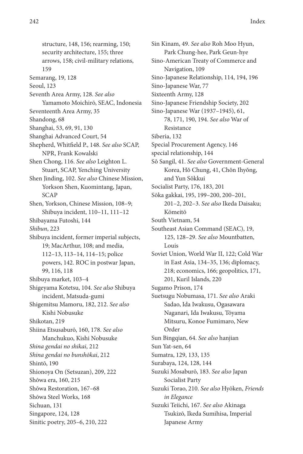structure, 148, 156; rearming, 150; security architecture, 155; three arrows, 158; civil-military relations, 159 Semarang, 19, 128 Seoul, 123 Seventh Area Army, 128. *See also* Yamamoto Moichirō, SEAC, Indonesia Seventeenth Area Army, 35 Shandong, 68 Shanghai, 53, 69, 91, 130 Shanghai Advanced Court, 54 Shepherd, Whitfield P., 148. *See also* SCAP, NPR, Frank Kowalski Shen Chong, 116. *See also* Leighton L. Stuart, SCAP, Yenching University Shen Jinding, 102. *See also* Chinese Mission, Yorkson Shen, Kuomintang, Japan, SCAP Shen, Yorkson, Chinese Mission, 108–9; Shibuya incident, 110–11, 111–12 Shibayama Futoshi, 144 *Shibun*, 223 Shibuya incident, former imperial subjects, 19; MacArthur, 108; and media, 112–13, 113–14, 114–15; police powers, 142. ROC in postwar Japan, 99, 116, 118 Shibuya market, 103–4 Shigeyama Kotetsu, 104. *See also* Shibuya incident, Matsuda-gumi Shigemitsu Mamoru, 182, 212. *See also* Kishi Nobusuke Shikotan, 219 Shiina Etsusaburō, 160, 178. *See also* Manchukuo, Kishi Nobusuke *Shina gendai no shikai*, 212 *Shina gendai no bunshōkai*, 212 Shintō, 190 Shionoya On (Setsuzan), 209, 222 Shōwa era, 160, 215 Shōwa Restoration, 167–68 Shōwa Steel Works, 168 Sichuan, 131

Singapore, 124, 128

Sinitic poetry, 205–6, 210, 222

78, 171, 190, 194. *See also* War of Resistance Siberia, 132 Special Procurement Agency, 146 special relationship, 144 Sŏ Sangil, 41. *See also* Government-General Korea, Hŏ Chung, 41, Chŏn Ihyŏng, and Yun Sŏkkui Socialist Party, 176, 183, 201 Sōka gakkai, 195, 199–200, 200–201, 201–2, 202–3. *See also* Ikeda Daisaku; Kōmeitō South Vietnam, 54 Southeast Asian Command (SEAC), 19, 125, 128–29. *See also* Mountbatten, Louis Soviet Union, World War II, 122; Cold War in East Asia, 134–35, 136; diplomacy, 218; economics, 166; geopolitics, 171, 201, Kuril Islands, 220 Sugamo Prison, 174 Suetsugu Nobumasa, 171. *See also* Araki Sadao, Ida Iwakusu, Ogasawara Naganari, Ida Iwakusu, Tōyama Mitsuru, Konoe Fumimaro, New Order Sun Bingqian, 64. *See also* hanjian Sun Yat-sen, 64 Sumatra, 129, 133, 135 Surabaya, 124, 128, 144 Suzuki Mosaburō, 183. *See also* Japan Socialist Party Suzuki Torao, 210. *See also* Hyōken, *Friends in Elegance* Suzuki Teiichi, 167. *See also* Akinaga Tsukizō, Ikeda Sumihisa, Imperial Japanese Army

Sin Kinam, 49. *See also* Roh Moo Hyun, Park Chung-hee, Park Geun-hye Sino-American Treaty of Commerce and

Sino-Japanese Relationship, 114, 194, 196

Sino-Japanese Friendship Society, 202 Sino-Japanese War (1937–1945), 61,

Navigation, 109

Sino-Japanese War, 77 Sixteenth Army, 128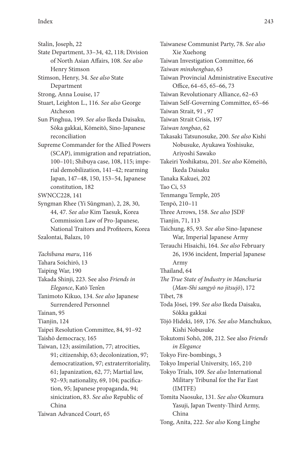|  | Stalin, Joseph, 22 |  |
|--|--------------------|--|
|--|--------------------|--|

- State Department, 33–34, 42, 118; Division of North Asian Affairs, 108. *See also* Henry Stimson
- Stimson, Henry, 34. *See also* State Department
- Strong, Anna Louise, 17
- Stuart, Leighton L., 116. *See also* George Atcheson
- Sun Pinghua, 199. *See also* Ikeda Daisaku, Sōka gakkai, Kōmeitō, Sino-Japanese reconciliation
- Supreme Commander for the Allied Powers (SCAP), immigration and repatriation, 100–101; Shibuya case, 108, 115; imperial demobilization, 141–42; rearming Japan, 147–48, 150, 153–54, Japanese constitution, 182
- SWNCC228, 141
- Syngman Rhee (Yi Sŭngman), 2, 28, 30, 44, 47. *See also* Kim Taesuk, Korea Commission Law of Pro-Japanese, National Traitors and Profiteers, Korea Szalontai, Balazs, 10
- *Tachibana maru*, 116
- Tahara Soichirō, 13
- Taiping War, 190
- Takada Shinji, 223. See also *Friends in Elegance*, Katō Ten'en
- Tanimoto Kikuo, 134. *See also* Japanese Surrendered Personnel
- Tainan, 95
- Tianjin, 124
- Taipei Resolution Committee, 84, 91–92
- Taishō democracy, 165
- Taiwan, 123; assimilation, 77; atrocities, 91; citizenship, 63; decolonization, 97; democratization, 97; extraterritoriality, 61; Japanization, 62, 77; Martial law, 92–93; nationality, 69, 104; pacification, 95; Japanese propaganda, 94; sinicization, 83. *See also* Republic of China Taiwan Advanced Court, 65
- Taiwanese Communist Party, 78. *See also* Xie Xuehong Taiwan Investigation Committee, 66 *Taiwan minshengbao*, 63 Taiwan Provincial Administrative Executive Office, 64–65, 65–66, 73 Taiwan Revolutionary Alliance, 62–63 Taiwan Self-Governing Committee, 65–66 Taiwan Strait, 91 , 97 Taiwan Strait Crisis, 197 *Taiwan tongbao*, 62 Takasaki Tatsunosuke, 200. *See also* Kishi Nobusuke, Ayukawa Yoshisuke, Ariyoshi Sawako Takeiri Yoshikatsu, 201. *See also* Kōmeitō, Ikeda Daisaku Tanaka Kakuei, 202 Tao Ci, 53 Tenmangu Temple, 205 Tenpō, 210–11 Three Arrows, 158. *See also* JSDF Tianjin, 71, 113 Taichung, 85, 93. *See also* Sino-Japanese War, Imperial Japanese Army Terauchi Hisaichi, 164. *See also* February 26, 1936 incident, Imperial Japanese Army Thailand, 64 *The True State of Industry in Manchuria* (*Man-Shi sangyō no jitsujō*), 172 Tibet, 78 Toda Jōsei, 199. *See also* Ikeda Daisaku, Sōkka gakkai Tōjō Hideki, 169, 176. *See also* Manchukuo, Kishi Nobusuke Tokutomi Sohō, 208, 212. See also *Friends in Elegance* Tokyo Fire-bombings, 3 Tokyo Imperial University, 165, 210 Tokyo Trials, 109. *See also* International Military Tribunal for the Far East (IMTFE) Tomita Naosuke, 131. *See also* Okumura Yasuji, Japan Twenty-Third Army, China Tong, Anita, 222. *See also* Kong Linghe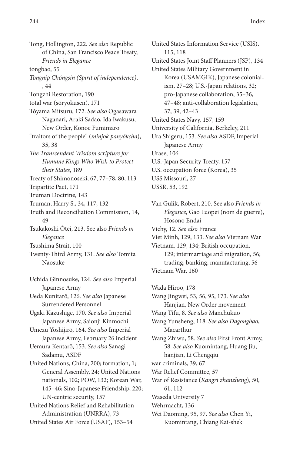Tong, Hollington, 222. *See also* Republic of China, San Francisco Peace Treaty, *Friends in Elegance*

tongbao, 55

*Tongnip Chŏngsin (Spirit of independence)*, , 44

Tongzhi Restoration, 190

total war (sōryokusen), 171

Tōyama Mitsuru, 172. *See also* Ogasawara Naganari, Araki Sadao, Ida Iwakusu, New Order, Konoe Fumimaro "traitors of the people" (*minjok panyŏkcha*),

35, 38 *The Transcendent Wisdom scripture for Humane Kings Who Wish to Protect*

*their States*, 189

Treaty of Shimonoseki, 67, 77–78, 80, 113

Tripartite Pact, 171

Truman Doctrine, 143

Truman, Harry S., 34, 117, 132

Truth and Reconciliation Commission, 14, 49

Tsukakoshi Ōtei, 213. See also *Friends in Elegance*

Tsushima Strait, 100

Twenty-Third Army, 131. *See also* Tomita Naosuke

Uchida Ginnosuke, 124. *See also* Imperial Japanese Army

Ueda Kunitarō, 126. *See also* Japanese Surrendered Personnel

Ugaki Kazushige, 170. *See also* Imperial Japanese Army, Saionji Kinmochi

Umezu Yoshijirō, 164. *See also* Imperial Japanese Army, February 26 incident

Uemura Kentarō, 153. *See also* Sanagi Sadamu, ASDF

United Nations, China, 200; formation, 1; General Assembly, 24; United Nations nationals, 102; POW, 132; Korean War, 145–46; Sino-Japanese Friendship, 220; UN-centric security, 157

United Nations Relief and Rehabilitation Administration (UNRRA), 73

United States Air Force (USAF), 153–54

United States Information Service (USIS), 115, 118 United States Joint Staff Planners (JSP), 134 United States Military Government in Korea (USAMGIK), Japanese colonialism, 27–28; U.S.-Japan relations, 32; pro-Japanese collaboration, 35–36, 47–48; anti-collaboration legislation, 37, 39, 42–43 United States Navy, 157, 159 University of California, Berkeley, 211 Ura Shigeru, 153. *See also* ASDF, Imperial Japanese Army Urase, 106 U.S.-Japan Security Treaty, 157 U.S. occupation force (Korea), 35 USS Missouri, 27

USSR, 53, 192

Van Gulik, Robert, 210. See also *Friends in Elegance*, Gao Luopei (nom de guerre), Hosono Endai Vichy, 12. *See also* France Viet Minh, 129, 133. *See also* Vietnam War Vietnam, 129, 134; British occupation, 129; intermarriage and migration, 56; trading, banking, manufacturing, 56

Vietnam War, 160

Wada Hiroo, 178 Wang Jingwei, 53, 56, 95, 173. *See also* Hanjian, New Order movement Wang Tifu, 8. *See also* Manchukuo Wang Yunsheng, 118. *See also Dagongbao*, Macarthur Wang Zhiwu, 58. *See also* First Front Army, 58. *See also* Kuomintang, Huang Jiu, hanjian, Li Chengqiu war criminals, 39, 67 War Relief Committee, 57 War of Resistance (*Kangri zhanzheng*), 50, 61, 112 Waseda University 7 Wehrmacht, 136 Wei Daoming, 95, 97. *See also* Chen Yi,

Kuomintang, Chiang Kai-shek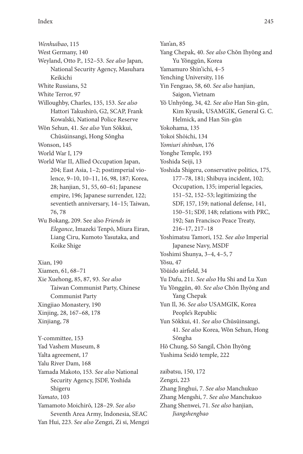*Wenhuibao*, 115

- West Germany, 140
- Weyland, Otto P., 152–53. *See also* Japan, National Security Agency, Masuhara Keikichi
- White Russians, 52
- White Terror, 97
- Willoughby, Charles, 135, 153. *See also* Hattori Takushirō, G2, SCAP, Frank Kowalski, National Police Reserve
- Wŏn Sehun, 41. *See also* Yun Sŏkkui, Chūsūinsangi, Hong Sŏngha
- Wonson, 145
- World War I, 179
- World War II, Allied Occupation Japan, 204; East Asia, 1–2; postimperial violence, 9–10, 10–11, 16, 98, 187; Korea, 28; hanjian, 51, 55, 60–61; Japanese empire, 196; Japanese surrender, 122; seventieth anniversary, 14–15; Taiwan, 76, 78
- Wu Bokang, 209. See also *Friends in Elegance*, Imazeki Tenpō, Miura Eiran, Liang Ciru, Kumoto Yasutaka, and Koike Shige
- Xian, 190
- Xiamen, 61, 68–71
- Xie Xuehong, 85, 87, 93. *See also* Taiwan Communist Party, Chinese Communist Party Xingjiao Monastery, 190 Xinjing, 28, 167–68, 178
- Xinjiang, 78

Y-committee, 153 Yad Vashem Museum, 8 Yalta agreement, 17 Yalu River Dam, 168 Yamada Makoto, 153. *See also* National Security Agency, JSDF, Yoshida Shigeru *Yamato*, 103 Yamamoto Moichirō, 128–29. *See also* Seventh Area Army, Indonesia, SEAC

Yan Hui, 223. *See also* Zengzi, Zi si, Mengzi *Jiangshengbao*

Yan'an, 85 Yang Chepak, 40. *See also* Chŏn Ihyŏng and Yu Yŏnggŭn, Korea Yamamuro Shin'ichi, 4–5 Yenching University, 116 Yin Fengzao, 58, 60. *See also* hanjian, Saigon, Vietnam Yŏ Unhyŏng, 34, 42. *See also* Han Sin-gŭn, Kim Kyusik, USAMGIK, General G. C. Helmick, and Han Sin-gŭn Yokohama, 135 Yokoi Shōichi, 134 *Yomiuri shinbun*, 176 Yonghe Temple, 193 Yoshida Seiji, 13 Yoshida Shigeru, conservative politics, 175, 177–78, 181; Shibuya incident, 102; Occupation, 135; imperial legacies, 151–52, 152–53; legitimizing the SDF, 157, 159; national defense, 141, 150–51; SDF, 148; relations with PRC, 192; San Francisco Peace Treaty, 216–17, 217–18 Yoshimatsu Tamori, 152. *See also* Imperial Japanese Navy, MSDF Yoshimi Shunya, 3–4, 4–5, 7 Yŏsu, 47 Yŏŭido airfield, 34 Yu Dafu, 211. *See also* Hu Shi and Lu Xun Yu Yŏnggŭn, 40. *See also* Chŏn Ihyŏng and Yang Chepak Yun Il, 36. *See also* USAMGIK, Korea People's Republic Yun Sŏkkui, 41. *See also* Chūsūinsangi, 41. *See also* Korea, Wŏn Sehun, Hong Sŏngha Hŏ Chung, Sŏ Sangil, Chŏn Ihyŏng Yushima Seidō temple, 222 zaibatsu, 150, 172 Zengzi, 223 Zhang Jinghui, 7. *See also* Manchukuo Zhang Mengshi, 7. *See also* Manchukuo Zhang Shenwei, 71. *See also* hanjian,